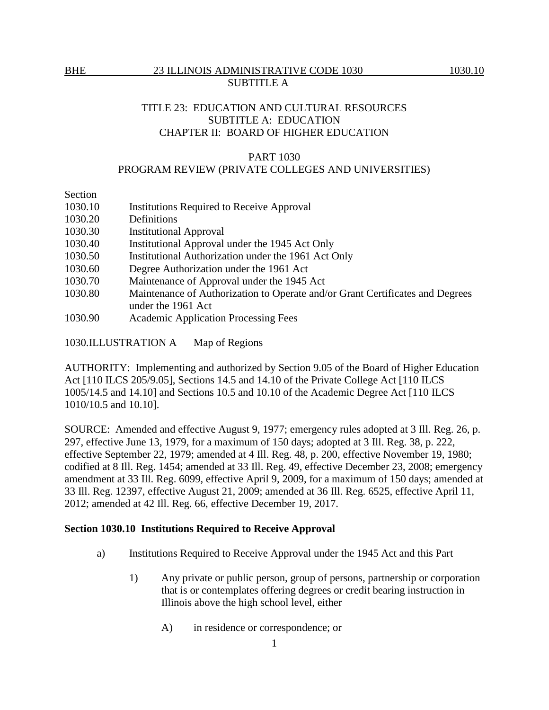# TITLE 23: EDUCATION AND CULTURAL RESOURCES SUBTITLE A: EDUCATION CHAPTER II: BOARD OF HIGHER EDUCATION

#### PART 1030

## PROGRAM REVIEW (PRIVATE COLLEGES AND UNIVERSITIES)

Section

| 1030.10 | <b>Institutions Required to Receive Approval</b>                              |
|---------|-------------------------------------------------------------------------------|
| 1030.20 | Definitions                                                                   |
| 1030.30 | <b>Institutional Approval</b>                                                 |
| 1030.40 | Institutional Approval under the 1945 Act Only                                |
| 1030.50 | Institutional Authorization under the 1961 Act Only                           |
| 1030.60 | Degree Authorization under the 1961 Act                                       |
| 1030.70 | Maintenance of Approval under the 1945 Act                                    |
| 1030.80 | Maintenance of Authorization to Operate and/or Grant Certificates and Degrees |
|         | under the 1961 Act                                                            |
| 1030.90 | <b>Academic Application Processing Fees</b>                                   |

1030.ILLUSTRATION A Map of Regions

AUTHORITY: Implementing and authorized by Section 9.05 of the Board of Higher Education Act [110 ILCS 205/9.05], Sections 14.5 and 14.10 of the Private College Act [110 ILCS] 1005/14.5 and 14.10] and Sections 10.5 and 10.10 of the Academic Degree Act [110 ILCS 1010/10.5 and 10.10].

SOURCE: Amended and effective August 9, 1977; emergency rules adopted at 3 Ill. Reg. 26, p. 297, effective June 13, 1979, for a maximum of 150 days; adopted at 3 Ill. Reg. 38, p. 222, effective September 22, 1979; amended at 4 Ill. Reg. 48, p. 200, effective November 19, 1980; codified at 8 Ill. Reg. 1454; amended at 33 Ill. Reg. 49, effective December 23, 2008; emergency amendment at 33 Ill. Reg. 6099, effective April 9, 2009, for a maximum of 150 days; amended at 33 Ill. Reg. 12397, effective August 21, 2009; amended at 36 Ill. Reg. 6525, effective April 11, 2012; amended at 42 Ill. Reg. 66, effective December 19, 2017.

### **Section 1030.10 Institutions Required to Receive Approval**

- a) Institutions Required to Receive Approval under the 1945 Act and this Part
	- 1) Any private or public person, group of persons, partnership or corporation that is or contemplates offering degrees or credit bearing instruction in Illinois above the high school level, either
		- A) in residence or correspondence; or

1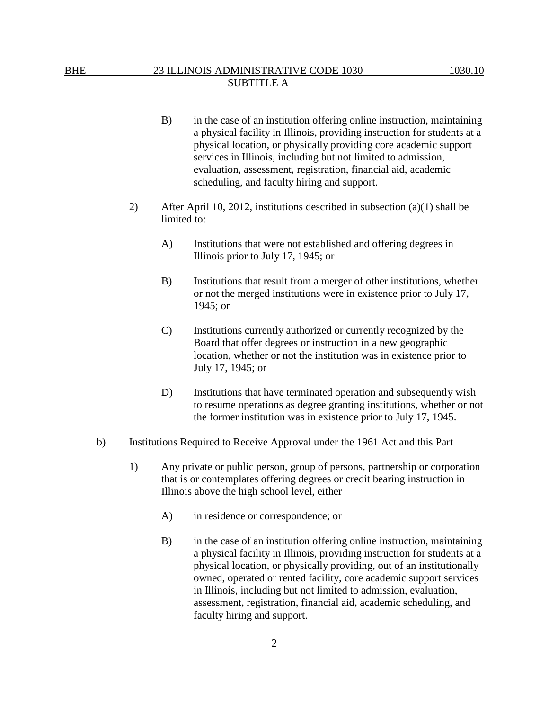- B) in the case of an institution offering online instruction, maintaining a physical facility in Illinois, providing instruction for students at a physical location, or physically providing core academic support services in Illinois, including but not limited to admission, evaluation, assessment, registration, financial aid, academic scheduling, and faculty hiring and support.
- 2) After April 10, 2012, institutions described in subsection (a)(1) shall be limited to:
	- A) Institutions that were not established and offering degrees in Illinois prior to July 17, 1945; or
	- B) Institutions that result from a merger of other institutions, whether or not the merged institutions were in existence prior to July 17, 1945; or
	- C) Institutions currently authorized or currently recognized by the Board that offer degrees or instruction in a new geographic location, whether or not the institution was in existence prior to July 17, 1945; or
	- D) Institutions that have terminated operation and subsequently wish to resume operations as degree granting institutions, whether or not the former institution was in existence prior to July 17, 1945.
- b) Institutions Required to Receive Approval under the 1961 Act and this Part
	- 1) Any private or public person, group of persons, partnership or corporation that is or contemplates offering degrees or credit bearing instruction in Illinois above the high school level, either
		- A) in residence or correspondence; or
		- B) in the case of an institution offering online instruction, maintaining a physical facility in Illinois, providing instruction for students at a physical location, or physically providing, out of an institutionally owned, operated or rented facility, core academic support services in Illinois, including but not limited to admission, evaluation, assessment, registration, financial aid, academic scheduling, and faculty hiring and support.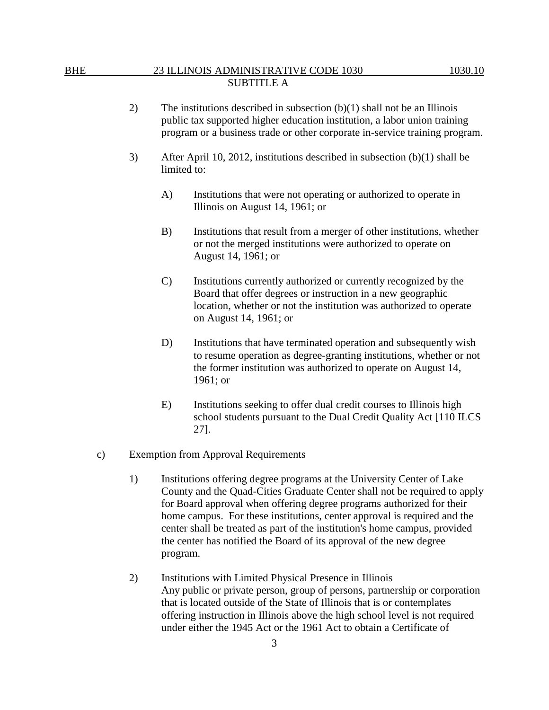- 2) The institutions described in subsection (b)(1) shall not be an Illinois public tax supported higher education institution, a labor union training program or a business trade or other corporate in-service training program.
- 3) After April 10, 2012, institutions described in subsection (b)(1) shall be limited to:
	- A) Institutions that were not operating or authorized to operate in Illinois on August 14, 1961; or
	- B) Institutions that result from a merger of other institutions, whether or not the merged institutions were authorized to operate on August 14, 1961; or
	- C) Institutions currently authorized or currently recognized by the Board that offer degrees or instruction in a new geographic location, whether or not the institution was authorized to operate on August 14, 1961; or
	- D) Institutions that have terminated operation and subsequently wish to resume operation as degree-granting institutions, whether or not the former institution was authorized to operate on August 14, 1961; or
	- E) Institutions seeking to offer dual credit courses to Illinois high school students pursuant to the Dual Credit Quality Act [110 ILCS 27].
- c) Exemption from Approval Requirements
	- 1) Institutions offering degree programs at the University Center of Lake County and the Quad-Cities Graduate Center shall not be required to apply for Board approval when offering degree programs authorized for their home campus. For these institutions, center approval is required and the center shall be treated as part of the institution's home campus, provided the center has notified the Board of its approval of the new degree program.
	- 2) Institutions with Limited Physical Presence in Illinois Any public or private person, group of persons, partnership or corporation that is located outside of the State of Illinois that is or contemplates offering instruction in Illinois above the high school level is not required under either the 1945 Act or the 1961 Act to obtain a Certificate of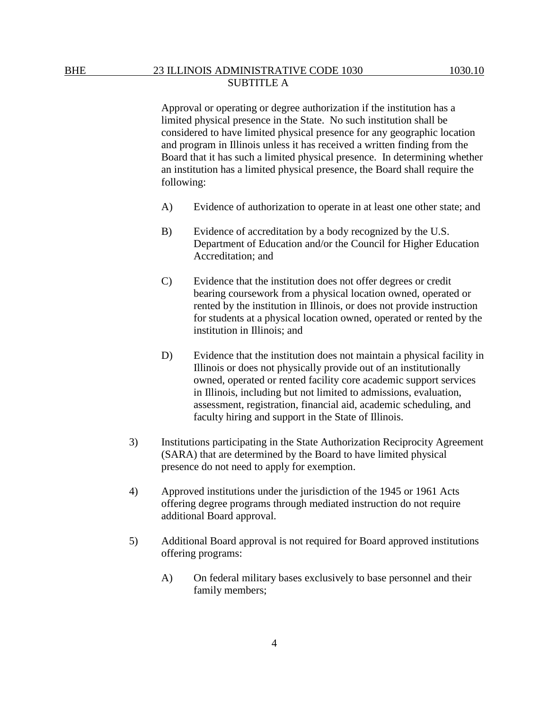Approval or operating or degree authorization if the institution has a limited physical presence in the State. No such institution shall be considered to have limited physical presence for any geographic location and program in Illinois unless it has received a written finding from the Board that it has such a limited physical presence. In determining whether an institution has a limited physical presence, the Board shall require the following:

- A) Evidence of authorization to operate in at least one other state; and
- B) Evidence of accreditation by a body recognized by the U.S. Department of Education and/or the Council for Higher Education Accreditation; and
- C) Evidence that the institution does not offer degrees or credit bearing coursework from a physical location owned, operated or rented by the institution in Illinois, or does not provide instruction for students at a physical location owned, operated or rented by the institution in Illinois; and
- D) Evidence that the institution does not maintain a physical facility in Illinois or does not physically provide out of an institutionally owned, operated or rented facility core academic support services in Illinois, including but not limited to admissions, evaluation, assessment, registration, financial aid, academic scheduling, and faculty hiring and support in the State of Illinois.
- 3) Institutions participating in the State Authorization Reciprocity Agreement (SARA) that are determined by the Board to have limited physical presence do not need to apply for exemption.
- 4) Approved institutions under the jurisdiction of the 1945 or 1961 Acts offering degree programs through mediated instruction do not require additional Board approval.
- 5) Additional Board approval is not required for Board approved institutions offering programs:
	- A) On federal military bases exclusively to base personnel and their family members;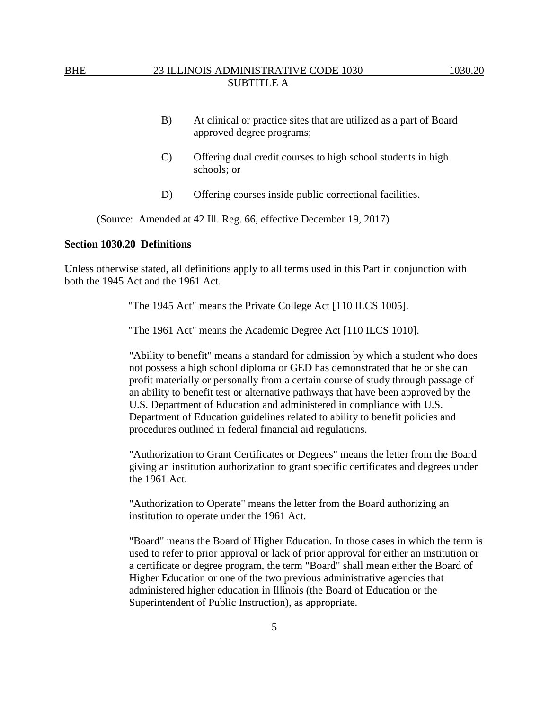- B) At clinical or practice sites that are utilized as a part of Board approved degree programs;
- C) Offering dual credit courses to high school students in high schools; or
- D) Offering courses inside public correctional facilities.

(Source: Amended at 42 Ill. Reg. 66, effective December 19, 2017)

#### **Section 1030.20 Definitions**

Unless otherwise stated, all definitions apply to all terms used in this Part in conjunction with both the 1945 Act and the 1961 Act.

"The 1945 Act" means the Private College Act [110 ILCS 1005].

"The 1961 Act" means the Academic Degree Act [110 ILCS 1010].

"Ability to benefit" means a standard for admission by which a student who does not possess a high school diploma or GED has demonstrated that he or she can profit materially or personally from a certain course of study through passage of an ability to benefit test or alternative pathways that have been approved by the U.S. Department of Education and administered in compliance with U.S. Department of Education guidelines related to ability to benefit policies and procedures outlined in federal financial aid regulations.

"Authorization to Grant Certificates or Degrees" means the letter from the Board giving an institution authorization to grant specific certificates and degrees under the 1961 Act.

"Authorization to Operate" means the letter from the Board authorizing an institution to operate under the 1961 Act.

"Board" means the Board of Higher Education. In those cases in which the term is used to refer to prior approval or lack of prior approval for either an institution or a certificate or degree program, the term "Board" shall mean either the Board of Higher Education or one of the two previous administrative agencies that administered higher education in Illinois (the Board of Education or the Superintendent of Public Instruction), as appropriate.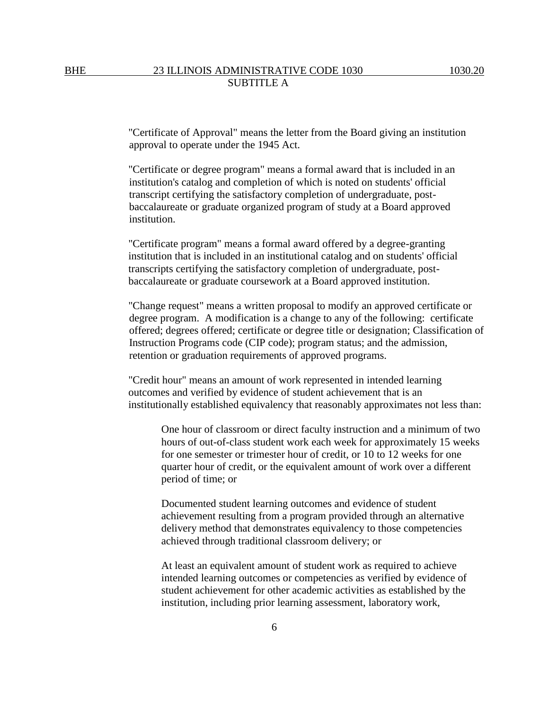"Certificate of Approval" means the letter from the Board giving an institution approval to operate under the 1945 Act.

"Certificate or degree program" means a formal award that is included in an institution's catalog and completion of which is noted on students' official transcript certifying the satisfactory completion of undergraduate, postbaccalaureate or graduate organized program of study at a Board approved institution.

"Certificate program" means a formal award offered by a degree-granting institution that is included in an institutional catalog and on students' official transcripts certifying the satisfactory completion of undergraduate, postbaccalaureate or graduate coursework at a Board approved institution.

"Change request" means a written proposal to modify an approved certificate or degree program. A modification is a change to any of the following: certificate offered; degrees offered; certificate or degree title or designation; Classification of Instruction Programs code (CIP code); program status; and the admission, retention or graduation requirements of approved programs.

"Credit hour" means an amount of work represented in intended learning outcomes and verified by evidence of student achievement that is an institutionally established equivalency that reasonably approximates not less than:

One hour of classroom or direct faculty instruction and a minimum of two hours of out-of-class student work each week for approximately 15 weeks for one semester or trimester hour of credit, or 10 to 12 weeks for one quarter hour of credit, or the equivalent amount of work over a different period of time; or

Documented student learning outcomes and evidence of student achievement resulting from a program provided through an alternative delivery method that demonstrates equivalency to those competencies achieved through traditional classroom delivery; or

At least an equivalent amount of student work as required to achieve intended learning outcomes or competencies as verified by evidence of student achievement for other academic activities as established by the institution, including prior learning assessment, laboratory work,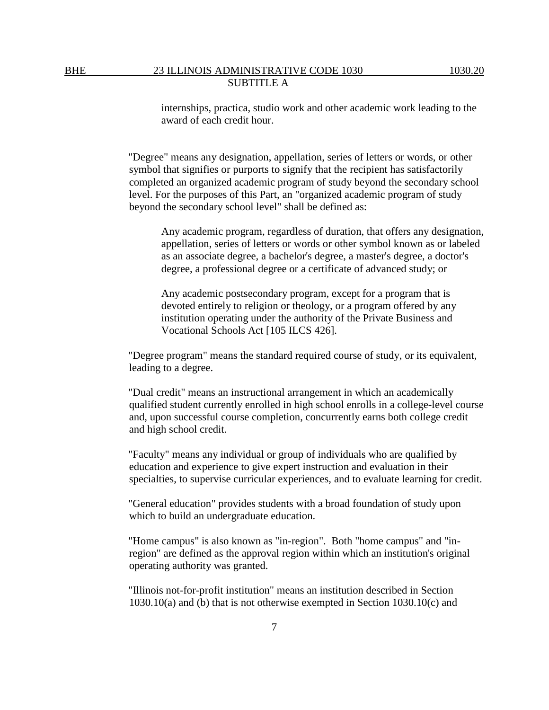internships, practica, studio work and other academic work leading to the award of each credit hour.

"Degree" means any designation, appellation, series of letters or words, or other symbol that signifies or purports to signify that the recipient has satisfactorily completed an organized academic program of study beyond the secondary school level. For the purposes of this Part, an "organized academic program of study beyond the secondary school level" shall be defined as:

Any academic program, regardless of duration, that offers any designation, appellation, series of letters or words or other symbol known as or labeled as an associate degree, a bachelor's degree, a master's degree, a doctor's degree, a professional degree or a certificate of advanced study; or

Any academic postsecondary program, except for a program that is devoted entirely to religion or theology, or a program offered by any institution operating under the authority of the Private Business and Vocational Schools Act [105 ILCS 426].

"Degree program" means the standard required course of study, or its equivalent, leading to a degree.

"Dual credit" means an instructional arrangement in which an academically qualified student currently enrolled in high school enrolls in a college-level course and, upon successful course completion, concurrently earns both college credit and high school credit.

"Faculty" means any individual or group of individuals who are qualified by education and experience to give expert instruction and evaluation in their specialties, to supervise curricular experiences, and to evaluate learning for credit.

"General education" provides students with a broad foundation of study upon which to build an undergraduate education.

"Home campus" is also known as "in-region". Both "home campus" and "inregion" are defined as the approval region within which an institution's original operating authority was granted.

"Illinois not-for-profit institution" means an institution described in Section 1030.10(a) and (b) that is not otherwise exempted in Section 1030.10(c) and

7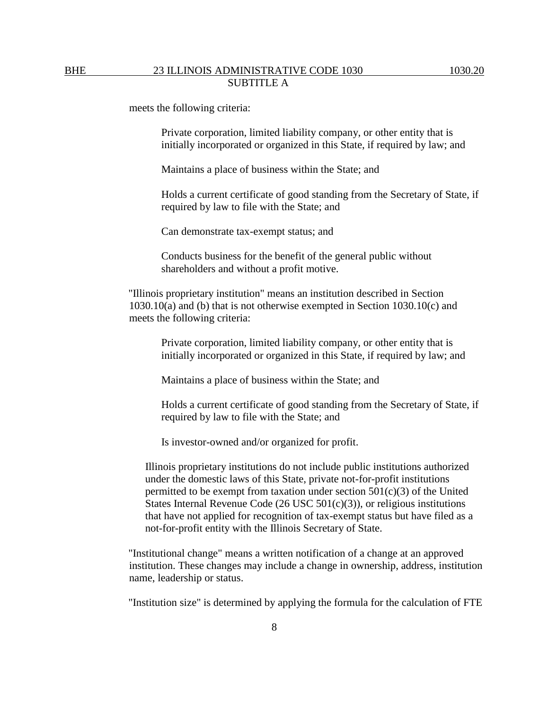meets the following criteria:

Private corporation, limited liability company, or other entity that is initially incorporated or organized in this State, if required by law; and

Maintains a place of business within the State; and

Holds a current certificate of good standing from the Secretary of State, if required by law to file with the State; and

Can demonstrate tax-exempt status; and

Conducts business for the benefit of the general public without shareholders and without a profit motive.

"Illinois proprietary institution" means an institution described in Section 1030.10(a) and (b) that is not otherwise exempted in Section 1030.10(c) and meets the following criteria:

Private corporation, limited liability company, or other entity that is initially incorporated or organized in this State, if required by law; and

Maintains a place of business within the State; and

Holds a current certificate of good standing from the Secretary of State, if required by law to file with the State; and

Is investor-owned and/or organized for profit.

Illinois proprietary institutions do not include public institutions authorized under the domestic laws of this State, private not-for-profit institutions permitted to be exempt from taxation under section  $501(c)(3)$  of the United States Internal Revenue Code (26 USC 501(c)(3)), or religious institutions that have not applied for recognition of tax-exempt status but have filed as a not-for-profit entity with the Illinois Secretary of State.

"Institutional change" means a written notification of a change at an approved institution. These changes may include a change in ownership, address, institution name, leadership or status.

"Institution size" is determined by applying the formula for the calculation of FTE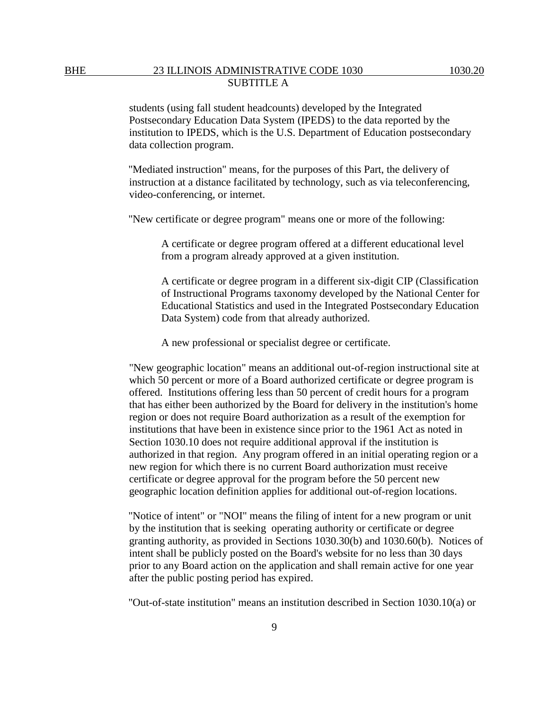students (using fall student headcounts) developed by the Integrated Postsecondary Education Data System (IPEDS) to the data reported by the institution to IPEDS, which is the U.S. Department of Education postsecondary data collection program.

"Mediated instruction" means, for the purposes of this Part, the delivery of instruction at a distance facilitated by technology, such as via teleconferencing, video-conferencing, or internet.

"New certificate or degree program" means one or more of the following:

A certificate or degree program offered at a different educational level from a program already approved at a given institution.

A certificate or degree program in a different six-digit CIP (Classification of Instructional Programs taxonomy developed by the National Center for Educational Statistics and used in the Integrated Postsecondary Education Data System) code from that already authorized.

A new professional or specialist degree or certificate.

"New geographic location" means an additional out-of-region instructional site at which 50 percent or more of a Board authorized certificate or degree program is offered. Institutions offering less than 50 percent of credit hours for a program that has either been authorized by the Board for delivery in the institution's home region or does not require Board authorization as a result of the exemption for institutions that have been in existence since prior to the 1961 Act as noted in Section 1030.10 does not require additional approval if the institution is authorized in that region. Any program offered in an initial operating region or a new region for which there is no current Board authorization must receive certificate or degree approval for the program before the 50 percent new geographic location definition applies for additional out-of-region locations.

"Notice of intent" or "NOI" means the filing of intent for a new program or unit by the institution that is seeking operating authority or certificate or degree granting authority, as provided in Sections 1030.30(b) and 1030.60(b). Notices of intent shall be publicly posted on the Board's website for no less than 30 days prior to any Board action on the application and shall remain active for one year after the public posting period has expired.

"Out-of-state institution" means an institution described in Section 1030.10(a) or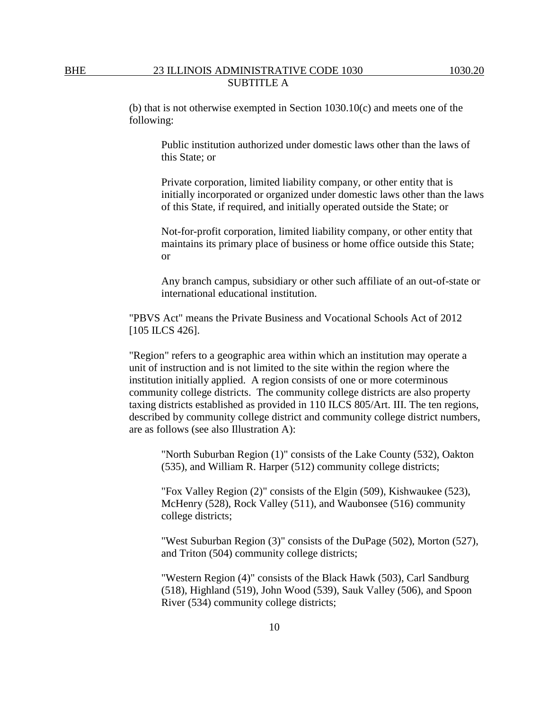(b) that is not otherwise exempted in Section 1030.10(c) and meets one of the following:

Public institution authorized under domestic laws other than the laws of this State; or

Private corporation, limited liability company, or other entity that is initially incorporated or organized under domestic laws other than the laws of this State, if required, and initially operated outside the State; or

Not-for-profit corporation, limited liability company, or other entity that maintains its primary place of business or home office outside this State; or

Any branch campus, subsidiary or other such affiliate of an out-of-state or international educational institution.

"PBVS Act" means the Private Business and Vocational Schools Act of 2012 [105 ILCS 426].

"Region" refers to a geographic area within which an institution may operate a unit of instruction and is not limited to the site within the region where the institution initially applied. A region consists of one or more coterminous community college districts. The community college districts are also property taxing districts established as provided in 110 ILCS 805/Art. III. The ten regions, described by community college district and community college district numbers, are as follows (see also Illustration A):

"North Suburban Region (1)" consists of the Lake County (532), Oakton (535), and William R. Harper (512) community college districts;

"Fox Valley Region (2)" consists of the Elgin (509), Kishwaukee (523), McHenry (528), Rock Valley (511), and Waubonsee (516) community college districts;

"West Suburban Region (3)" consists of the DuPage (502), Morton (527), and Triton (504) community college districts;

"Western Region (4)" consists of the Black Hawk (503), Carl Sandburg (518), Highland (519), John Wood (539), Sauk Valley (506), and Spoon River (534) community college districts;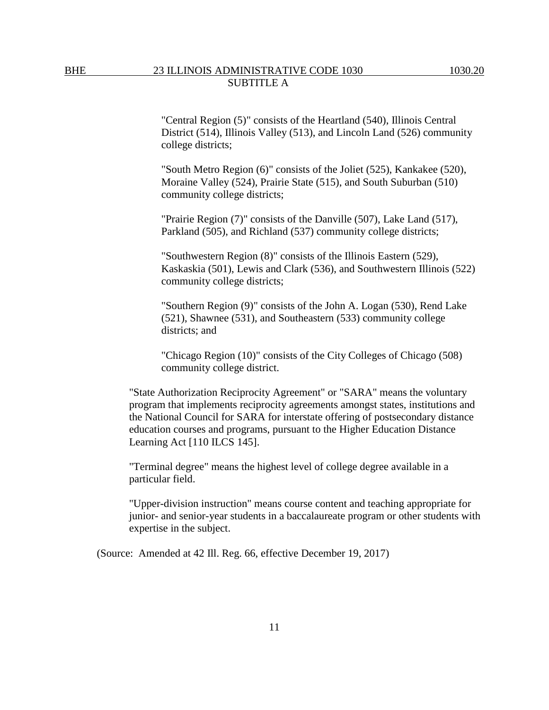"Central Region (5)" consists of the Heartland (540), Illinois Central District (514), Illinois Valley (513), and Lincoln Land (526) community college districts;

"South Metro Region (6)" consists of the Joliet (525), Kankakee (520), Moraine Valley (524), Prairie State (515), and South Suburban (510) community college districts;

"Prairie Region (7)" consists of the Danville (507), Lake Land (517), Parkland (505), and Richland (537) community college districts;

"Southwestern Region (8)" consists of the Illinois Eastern (529), Kaskaskia (501), Lewis and Clark (536), and Southwestern Illinois (522) community college districts;

"Southern Region (9)" consists of the John A. Logan (530), Rend Lake (521), Shawnee (531), and Southeastern (533) community college districts; and

"Chicago Region (10)" consists of the City Colleges of Chicago (508) community college district.

"State Authorization Reciprocity Agreement" or "SARA" means the voluntary program that implements reciprocity agreements amongst states, institutions and the National Council for SARA for interstate offering of postsecondary distance education courses and programs, pursuant to the Higher Education Distance Learning Act [110 ILCS 145].

"Terminal degree" means the highest level of college degree available in a particular field.

"Upper-division instruction" means course content and teaching appropriate for junior- and senior-year students in a baccalaureate program or other students with expertise in the subject.

(Source: Amended at 42 Ill. Reg. 66, effective December 19, 2017)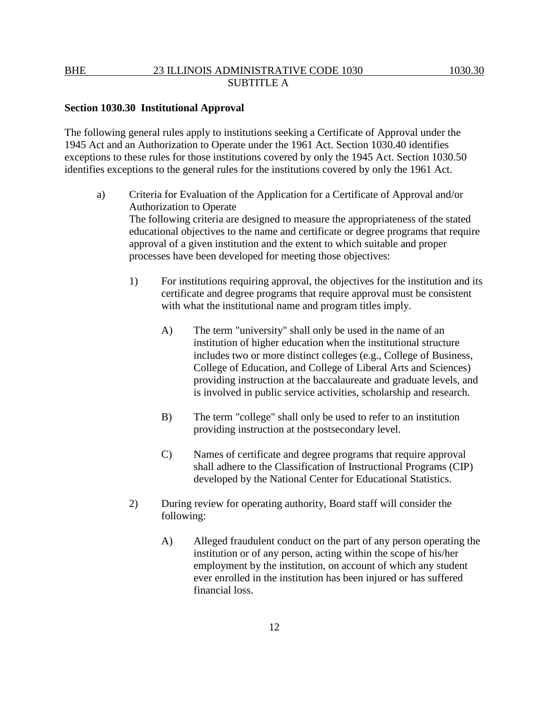#### **Section 1030.30 Institutional Approval**

The following general rules apply to institutions seeking a Certificate of Approval under the 1945 Act and an Authorization to Operate under the 1961 Act. Section 1030.40 identifies exceptions to these rules for those institutions covered by only the 1945 Act. Section 1030.50 identifies exceptions to the general rules for the institutions covered by only the 1961 Act.

- a) Criteria for Evaluation of the Application for a Certificate of Approval and/or Authorization to Operate The following criteria are designed to measure the appropriateness of the stated educational objectives to the name and certificate or degree programs that require approval of a given institution and the extent to which suitable and proper processes have been developed for meeting those objectives:
	- 1) For institutions requiring approval, the objectives for the institution and its certificate and degree programs that require approval must be consistent with what the institutional name and program titles imply.
		- A) The term "university" shall only be used in the name of an institution of higher education when the institutional structure includes two or more distinct colleges (e.g., College of Business, College of Education, and College of Liberal Arts and Sciences) providing instruction at the baccalaureate and graduate levels, and is involved in public service activities, scholarship and research.
		- B) The term "college" shall only be used to refer to an institution providing instruction at the postsecondary level.
		- C) Names of certificate and degree programs that require approval shall adhere to the Classification of Instructional Programs (CIP) developed by the National Center for Educational Statistics.
	- 2) During review for operating authority, Board staff will consider the following:
		- A) Alleged fraudulent conduct on the part of any person operating the institution or of any person, acting within the scope of his/her employment by the institution, on account of which any student ever enrolled in the institution has been injured or has suffered financial loss.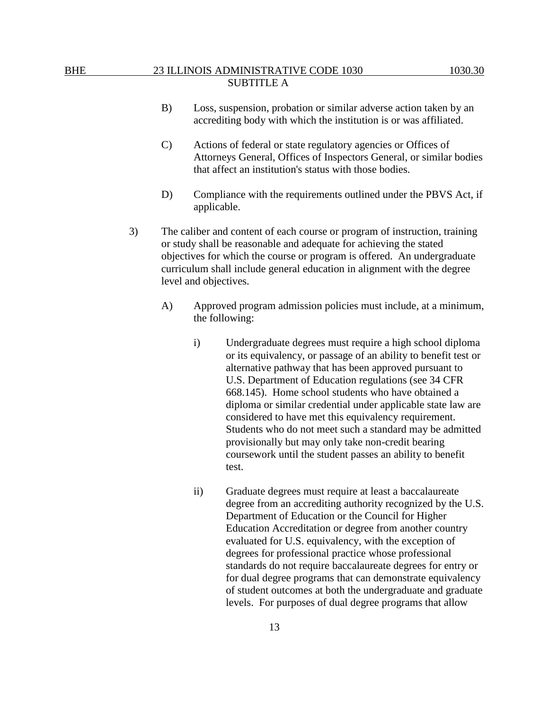- B) Loss, suspension, probation or similar adverse action taken by an accrediting body with which the institution is or was affiliated.
- C) Actions of federal or state regulatory agencies or Offices of Attorneys General, Offices of Inspectors General, or similar bodies that affect an institution's status with those bodies.
- D) Compliance with the requirements outlined under the PBVS Act, if applicable.
- 3) The caliber and content of each course or program of instruction, training or study shall be reasonable and adequate for achieving the stated objectives for which the course or program is offered. An undergraduate curriculum shall include general education in alignment with the degree level and objectives.
	- A) Approved program admission policies must include, at a minimum, the following:
		- i) Undergraduate degrees must require a high school diploma or its equivalency, or passage of an ability to benefit test or alternative pathway that has been approved pursuant to U.S. Department of Education regulations (see 34 CFR 668.145). Home school students who have obtained a diploma or similar credential under applicable state law are considered to have met this equivalency requirement. Students who do not meet such a standard may be admitted provisionally but may only take non-credit bearing coursework until the student passes an ability to benefit test.
		- ii) Graduate degrees must require at least a baccalaureate degree from an accrediting authority recognized by the U.S. Department of Education or the Council for Higher Education Accreditation or degree from another country evaluated for U.S. equivalency, with the exception of degrees for professional practice whose professional standards do not require baccalaureate degrees for entry or for dual degree programs that can demonstrate equivalency of student outcomes at both the undergraduate and graduate levels. For purposes of dual degree programs that allow

13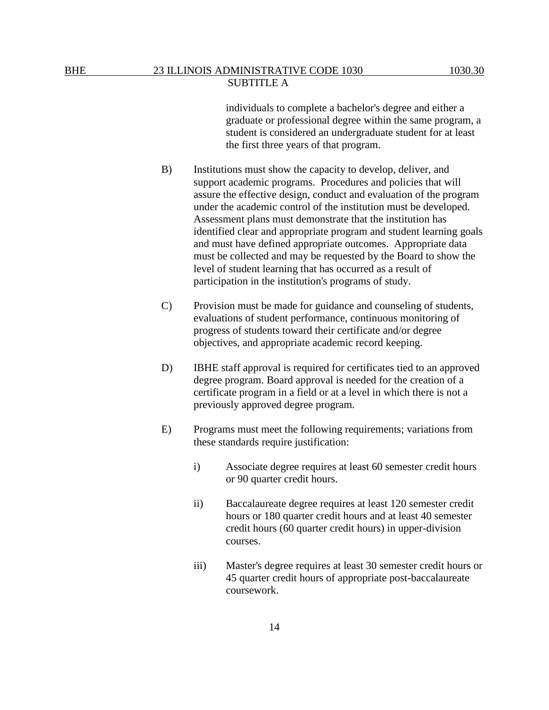individuals to complete a bachelor's degree and either a graduate or professional degree within the same program, a student is considered an undergraduate student for at least the first three years of that program.

- B) Institutions must show the capacity to develop, deliver, and support academic programs. Procedures and policies that will assure the effective design, conduct and evaluation of the program under the academic control of the institution must be developed. Assessment plans must demonstrate that the institution has identified clear and appropriate program and student learning goals and must have defined appropriate outcomes. Appropriate data must be collected and may be requested by the Board to show the level of student learning that has occurred as a result of participation in the institution's programs of study.
- C) Provision must be made for guidance and counseling of students, evaluations of student performance, continuous monitoring of progress of students toward their certificate and/or degree objectives, and appropriate academic record keeping.
- D) IBHE staff approval is required for certificates tied to an approved degree program. Board approval is needed for the creation of a certificate program in a field or at a level in which there is not a previously approved degree program.
- E) Programs must meet the following requirements; variations from these standards require justification:
	- i) Associate degree requires at least 60 semester credit hours or 90 quarter credit hours.
	- ii) Baccalaureate degree requires at least 120 semester credit hours or 180 quarter credit hours and at least 40 semester credit hours (60 quarter credit hours) in upper-division courses.
	- iii) Master's degree requires at least 30 semester credit hours or 45 quarter credit hours of appropriate post-baccalaureate coursework.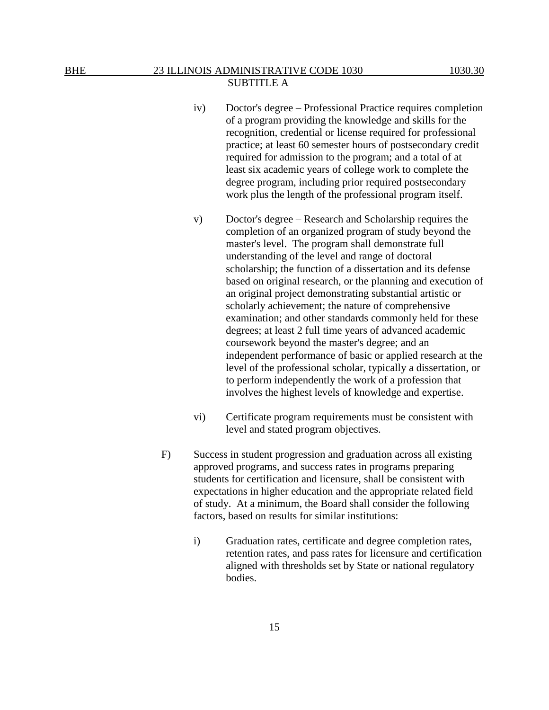- iv) Doctor's degree Professional Practice requires completion of a program providing the knowledge and skills for the recognition, credential or license required for professional practice; at least 60 semester hours of postsecondary credit required for admission to the program; and a total of at least six academic years of college work to complete the degree program, including prior required postsecondary work plus the length of the professional program itself.
- v) Doctor's degree Research and Scholarship requires the completion of an organized program of study beyond the master's level. The program shall demonstrate full understanding of the level and range of doctoral scholarship; the function of a dissertation and its defense based on original research, or the planning and execution of an original project demonstrating substantial artistic or scholarly achievement; the nature of comprehensive examination; and other standards commonly held for these degrees; at least 2 full time years of advanced academic coursework beyond the master's degree; and an independent performance of basic or applied research at the level of the professional scholar, typically a dissertation, or to perform independently the work of a profession that involves the highest levels of knowledge and expertise.
- vi) Certificate program requirements must be consistent with level and stated program objectives.
- F) Success in student progression and graduation across all existing approved programs, and success rates in programs preparing students for certification and licensure, shall be consistent with expectations in higher education and the appropriate related field of study. At a minimum, the Board shall consider the following factors, based on results for similar institutions:
	- i) Graduation rates, certificate and degree completion rates, retention rates, and pass rates for licensure and certification aligned with thresholds set by State or national regulatory bodies.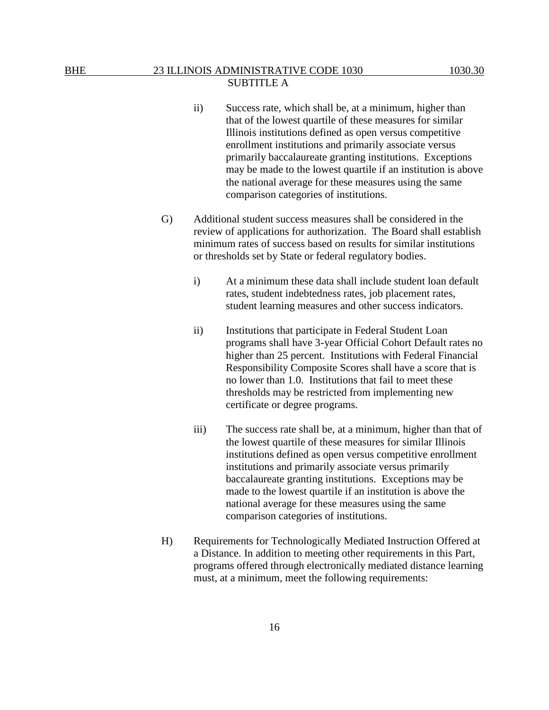- ii) Success rate, which shall be, at a minimum, higher than that of the lowest quartile of these measures for similar Illinois institutions defined as open versus competitive enrollment institutions and primarily associate versus primarily baccalaureate granting institutions. Exceptions may be made to the lowest quartile if an institution is above the national average for these measures using the same comparison categories of institutions.
- G) Additional student success measures shall be considered in the review of applications for authorization. The Board shall establish minimum rates of success based on results for similar institutions or thresholds set by State or federal regulatory bodies.
	- i) At a minimum these data shall include student loan default rates, student indebtedness rates, job placement rates, student learning measures and other success indicators.
	- ii) Institutions that participate in Federal Student Loan programs shall have 3-year Official Cohort Default rates no higher than 25 percent. Institutions with Federal Financial Responsibility Composite Scores shall have a score that is no lower than 1.0. Institutions that fail to meet these thresholds may be restricted from implementing new certificate or degree programs.
	- iii) The success rate shall be, at a minimum, higher than that of the lowest quartile of these measures for similar Illinois institutions defined as open versus competitive enrollment institutions and primarily associate versus primarily baccalaureate granting institutions. Exceptions may be made to the lowest quartile if an institution is above the national average for these measures using the same comparison categories of institutions.
- H) Requirements for Technologically Mediated Instruction Offered at a Distance. In addition to meeting other requirements in this Part, programs offered through electronically mediated distance learning must, at a minimum, meet the following requirements: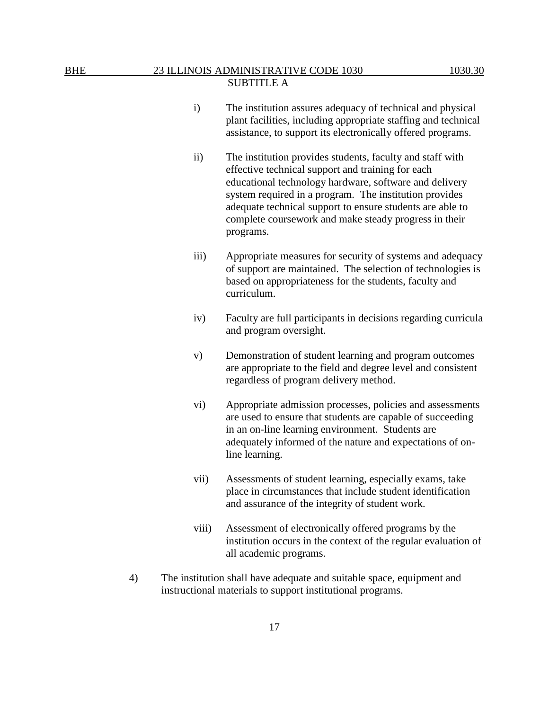- i) The institution assures adequacy of technical and physical plant facilities, including appropriate staffing and technical assistance, to support its electronically offered programs.
- ii) The institution provides students, faculty and staff with effective technical support and training for each educational technology hardware, software and delivery system required in a program. The institution provides adequate technical support to ensure students are able to complete coursework and make steady progress in their programs.
- iii) Appropriate measures for security of systems and adequacy of support are maintained. The selection of technologies is based on appropriateness for the students, faculty and curriculum.
- iv) Faculty are full participants in decisions regarding curricula and program oversight.
- v) Demonstration of student learning and program outcomes are appropriate to the field and degree level and consistent regardless of program delivery method.
- vi) Appropriate admission processes, policies and assessments are used to ensure that students are capable of succeeding in an on-line learning environment. Students are adequately informed of the nature and expectations of online learning.
- vii) Assessments of student learning, especially exams, take place in circumstances that include student identification and assurance of the integrity of student work.
- viii) Assessment of electronically offered programs by the institution occurs in the context of the regular evaluation of all academic programs.
- 4) The institution shall have adequate and suitable space, equipment and instructional materials to support institutional programs.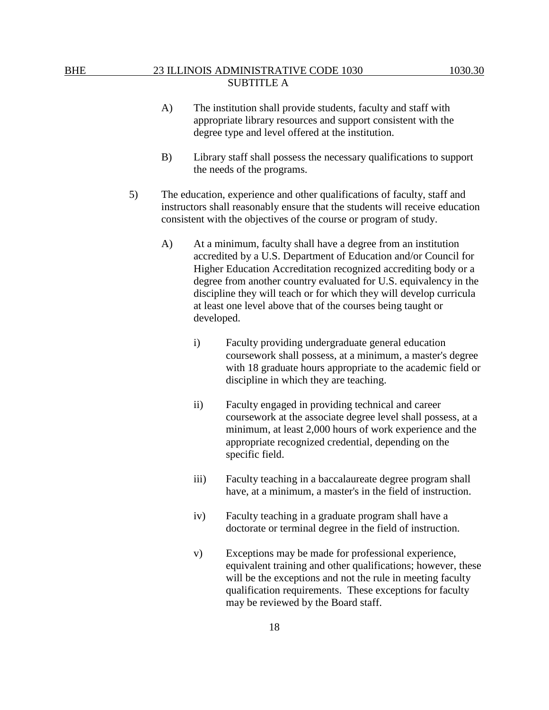- A) The institution shall provide students, faculty and staff with appropriate library resources and support consistent with the degree type and level offered at the institution.
- B) Library staff shall possess the necessary qualifications to support the needs of the programs.
- 5) The education, experience and other qualifications of faculty, staff and instructors shall reasonably ensure that the students will receive education consistent with the objectives of the course or program of study.
	- A) At a minimum, faculty shall have a degree from an institution accredited by a U.S. Department of Education and/or Council for Higher Education Accreditation recognized accrediting body or a degree from another country evaluated for U.S. equivalency in the discipline they will teach or for which they will develop curricula at least one level above that of the courses being taught or developed.
		- i) Faculty providing undergraduate general education coursework shall possess, at a minimum, a master's degree with 18 graduate hours appropriate to the academic field or discipline in which they are teaching.
		- ii) Faculty engaged in providing technical and career coursework at the associate degree level shall possess, at a minimum, at least 2,000 hours of work experience and the appropriate recognized credential, depending on the specific field.
		- iii) Faculty teaching in a baccalaureate degree program shall have, at a minimum, a master's in the field of instruction.
		- iv) Faculty teaching in a graduate program shall have a doctorate or terminal degree in the field of instruction.
		- v) Exceptions may be made for professional experience, equivalent training and other qualifications; however, these will be the exceptions and not the rule in meeting faculty qualification requirements. These exceptions for faculty may be reviewed by the Board staff.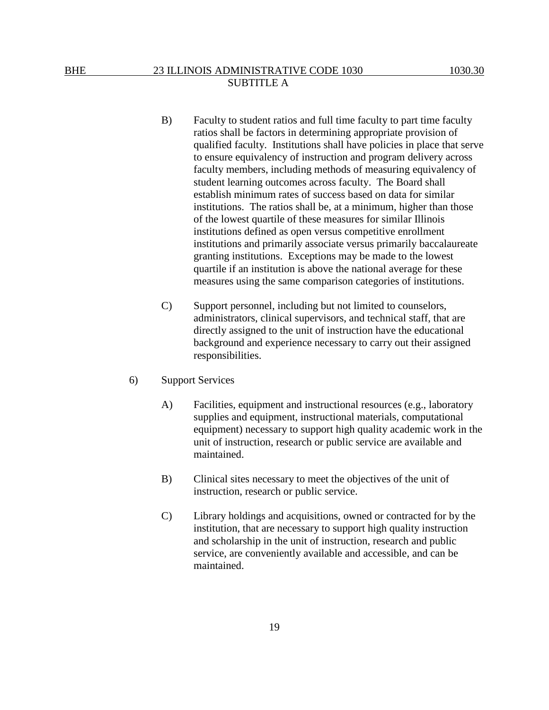- B) Faculty to student ratios and full time faculty to part time faculty ratios shall be factors in determining appropriate provision of qualified faculty. Institutions shall have policies in place that serve to ensure equivalency of instruction and program delivery across faculty members, including methods of measuring equivalency of student learning outcomes across faculty. The Board shall establish minimum rates of success based on data for similar institutions. The ratios shall be, at a minimum, higher than those of the lowest quartile of these measures for similar Illinois institutions defined as open versus competitive enrollment institutions and primarily associate versus primarily baccalaureate granting institutions. Exceptions may be made to the lowest quartile if an institution is above the national average for these measures using the same comparison categories of institutions.
- C) Support personnel, including but not limited to counselors, administrators, clinical supervisors, and technical staff, that are directly assigned to the unit of instruction have the educational background and experience necessary to carry out their assigned responsibilities.
- 6) Support Services
	- A) Facilities, equipment and instructional resources (e.g., laboratory supplies and equipment, instructional materials, computational equipment) necessary to support high quality academic work in the unit of instruction, research or public service are available and maintained.
	- B) Clinical sites necessary to meet the objectives of the unit of instruction, research or public service.
	- C) Library holdings and acquisitions, owned or contracted for by the institution, that are necessary to support high quality instruction and scholarship in the unit of instruction, research and public service, are conveniently available and accessible, and can be maintained.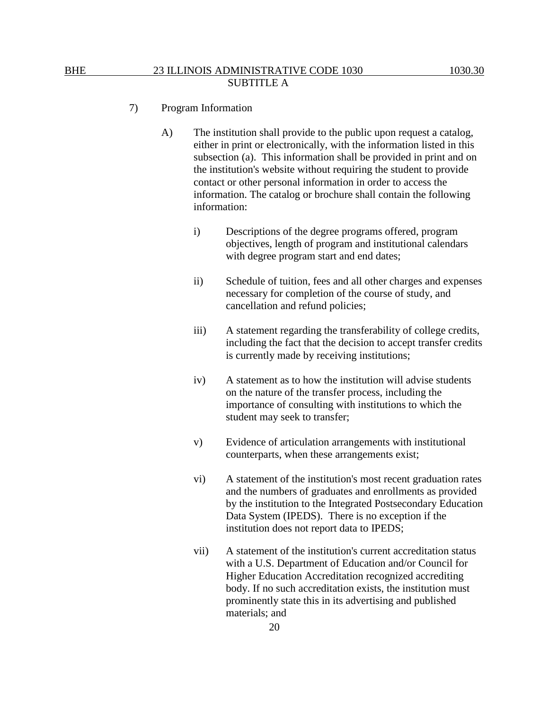- 7) Program Information
	- A) The institution shall provide to the public upon request a catalog, either in print or electronically, with the information listed in this subsection (a). This information shall be provided in print and on the institution's website without requiring the student to provide contact or other personal information in order to access the information. The catalog or brochure shall contain the following information:
		- i) Descriptions of the degree programs offered, program objectives, length of program and institutional calendars with degree program start and end dates;
		- ii) Schedule of tuition, fees and all other charges and expenses necessary for completion of the course of study, and cancellation and refund policies;
		- iii) A statement regarding the transferability of college credits, including the fact that the decision to accept transfer credits is currently made by receiving institutions;
		- iv) A statement as to how the institution will advise students on the nature of the transfer process, including the importance of consulting with institutions to which the student may seek to transfer;
		- v) Evidence of articulation arrangements with institutional counterparts, when these arrangements exist;
		- vi) A statement of the institution's most recent graduation rates and the numbers of graduates and enrollments as provided by the institution to the Integrated Postsecondary Education Data System (IPEDS). There is no exception if the institution does not report data to IPEDS;
		- vii) A statement of the institution's current accreditation status with a U.S. Department of Education and/or Council for Higher Education Accreditation recognized accrediting body. If no such accreditation exists, the institution must prominently state this in its advertising and published materials; and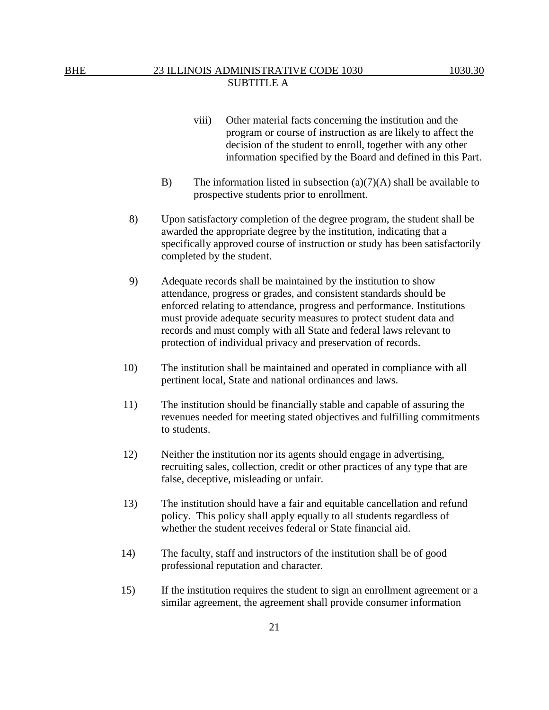- program or course of instruction as are likely to affect the decision of the student to enroll, together with any other information specified by the Board and defined in this Part.
- B) The information listed in subsection  $(a)(7)(A)$  shall be available to prospective students prior to enrollment.
- 8) Upon satisfactory completion of the degree program, the student shall be awarded the appropriate degree by the institution, indicating that a specifically approved course of instruction or study has been satisfactorily completed by the student.
- 9) Adequate records shall be maintained by the institution to show attendance, progress or grades, and consistent standards should be enforced relating to attendance, progress and performance. Institutions must provide adequate security measures to protect student data and records and must comply with all State and federal laws relevant to protection of individual privacy and preservation of records.
- 10) The institution shall be maintained and operated in compliance with all pertinent local, State and national ordinances and laws.
- 11) The institution should be financially stable and capable of assuring the revenues needed for meeting stated objectives and fulfilling commitments to students.
- 12) Neither the institution nor its agents should engage in advertising, recruiting sales, collection, credit or other practices of any type that are false, deceptive, misleading or unfair.
- 13) The institution should have a fair and equitable cancellation and refund policy. This policy shall apply equally to all students regardless of whether the student receives federal or State financial aid.
- 14) The faculty, staff and instructors of the institution shall be of good professional reputation and character.
- 15) If the institution requires the student to sign an enrollment agreement or a similar agreement, the agreement shall provide consumer information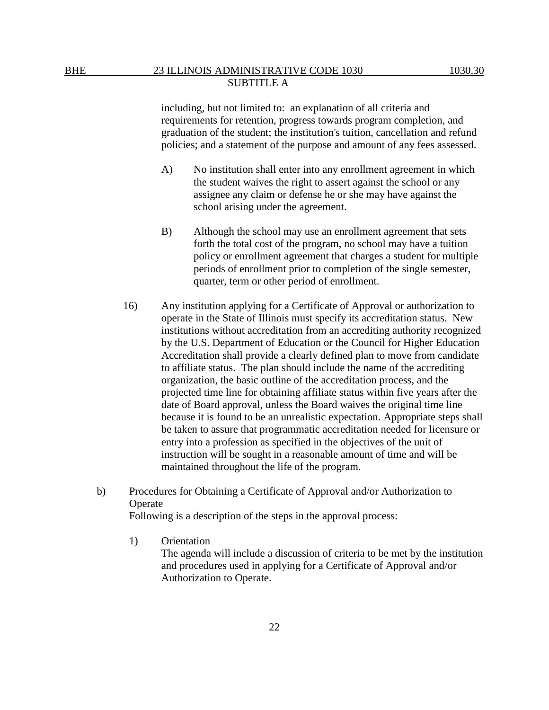including, but not limited to: an explanation of all criteria and requirements for retention, progress towards program completion, and graduation of the student; the institution's tuition, cancellation and refund policies; and a statement of the purpose and amount of any fees assessed.

- A) No institution shall enter into any enrollment agreement in which the student waives the right to assert against the school or any assignee any claim or defense he or she may have against the school arising under the agreement.
- B) Although the school may use an enrollment agreement that sets forth the total cost of the program, no school may have a tuition policy or enrollment agreement that charges a student for multiple periods of enrollment prior to completion of the single semester, quarter, term or other period of enrollment.
- 16) Any institution applying for a Certificate of Approval or authorization to operate in the State of Illinois must specify its accreditation status. New institutions without accreditation from an accrediting authority recognized by the U.S. Department of Education or the Council for Higher Education Accreditation shall provide a clearly defined plan to move from candidate to affiliate status. The plan should include the name of the accrediting organization, the basic outline of the accreditation process, and the projected time line for obtaining affiliate status within five years after the date of Board approval, unless the Board waives the original time line because it is found to be an unrealistic expectation. Appropriate steps shall be taken to assure that programmatic accreditation needed for licensure or entry into a profession as specified in the objectives of the unit of instruction will be sought in a reasonable amount of time and will be maintained throughout the life of the program.
- b) Procedures for Obtaining a Certificate of Approval and/or Authorization to Operate

Following is a description of the steps in the approval process:

1) Orientation

The agenda will include a discussion of criteria to be met by the institution and procedures used in applying for a Certificate of Approval and/or Authorization to Operate.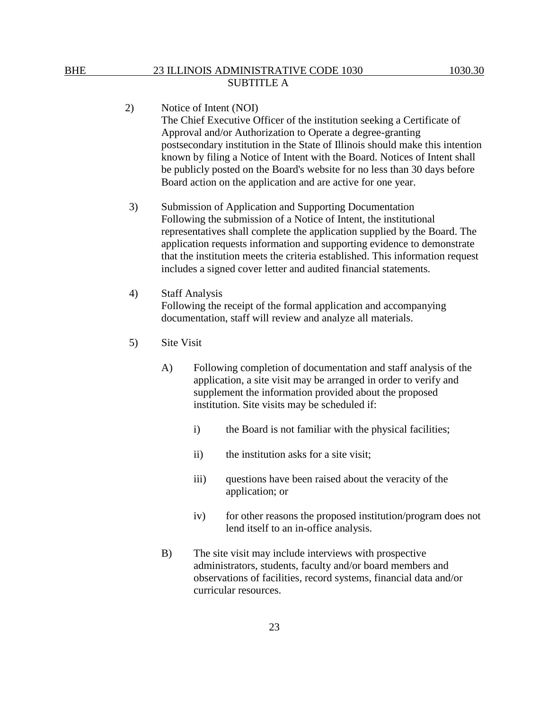2) Notice of Intent (NOI) The Chief Executive Officer of the institution seeking a Certificate of Approval and/or Authorization to Operate a degree-granting postsecondary institution in the State of Illinois should make this intention known by filing a Notice of Intent with the Board. Notices of Intent shall be publicly posted on the Board's website for no less than 30 days before Board action on the application and are active for one year.

3) Submission of Application and Supporting Documentation Following the submission of a Notice of Intent, the institutional representatives shall complete the application supplied by the Board. The application requests information and supporting evidence to demonstrate that the institution meets the criteria established. This information request includes a signed cover letter and audited financial statements.

- 4) Staff Analysis Following the receipt of the formal application and accompanying documentation, staff will review and analyze all materials.
- 5) Site Visit
	- A) Following completion of documentation and staff analysis of the application, a site visit may be arranged in order to verify and supplement the information provided about the proposed institution. Site visits may be scheduled if:
		- i) the Board is not familiar with the physical facilities;
		- ii) the institution asks for a site visit;

23

- iii) questions have been raised about the veracity of the application; or
- iv) for other reasons the proposed institution/program does not lend itself to an in-office analysis.
- B) The site visit may include interviews with prospective administrators, students, faculty and/or board members and observations of facilities, record systems, financial data and/or curricular resources.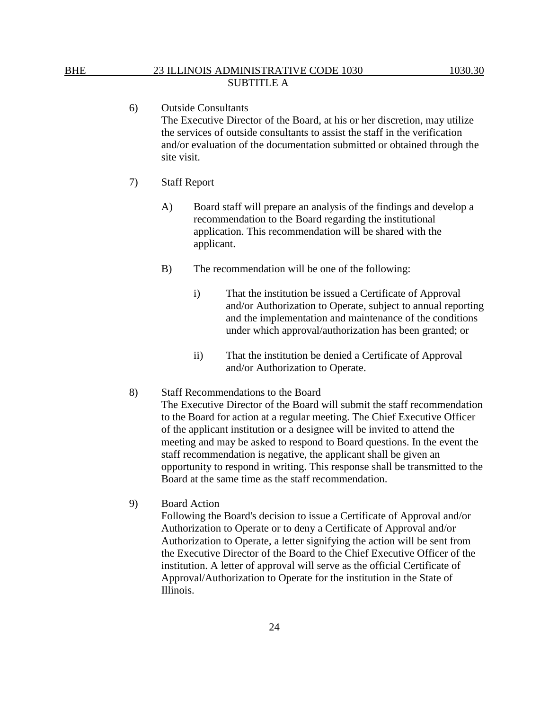6) Outside Consultants The Executive Director of the Board, at his or her discretion, may utilize the services of outside consultants to assist the staff in the verification and/or evaluation of the documentation submitted or obtained through the site visit.

- 7) Staff Report
	- A) Board staff will prepare an analysis of the findings and develop a recommendation to the Board regarding the institutional application. This recommendation will be shared with the applicant.
	- B) The recommendation will be one of the following:
		- i) That the institution be issued a Certificate of Approval and/or Authorization to Operate, subject to annual reporting and the implementation and maintenance of the conditions under which approval/authorization has been granted; or
		- ii) That the institution be denied a Certificate of Approval and/or Authorization to Operate.

#### 8) Staff Recommendations to the Board

The Executive Director of the Board will submit the staff recommendation to the Board for action at a regular meeting. The Chief Executive Officer of the applicant institution or a designee will be invited to attend the meeting and may be asked to respond to Board questions. In the event the staff recommendation is negative, the applicant shall be given an opportunity to respond in writing. This response shall be transmitted to the Board at the same time as the staff recommendation.

9) Board Action

Following the Board's decision to issue a Certificate of Approval and/or Authorization to Operate or to deny a Certificate of Approval and/or Authorization to Operate, a letter signifying the action will be sent from the Executive Director of the Board to the Chief Executive Officer of the institution. A letter of approval will serve as the official Certificate of Approval/Authorization to Operate for the institution in the State of Illinois.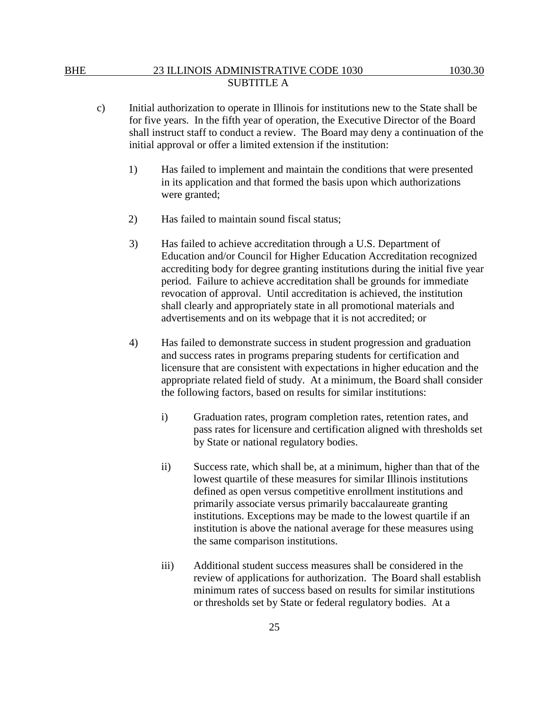- c) Initial authorization to operate in Illinois for institutions new to the State shall be for five years. In the fifth year of operation, the Executive Director of the Board shall instruct staff to conduct a review. The Board may deny a continuation of the initial approval or offer a limited extension if the institution:
	- 1) Has failed to implement and maintain the conditions that were presented in its application and that formed the basis upon which authorizations were granted;
	- 2) Has failed to maintain sound fiscal status;
	- 3) Has failed to achieve accreditation through a U.S. Department of Education and/or Council for Higher Education Accreditation recognized accrediting body for degree granting institutions during the initial five year period. Failure to achieve accreditation shall be grounds for immediate revocation of approval. Until accreditation is achieved, the institution shall clearly and appropriately state in all promotional materials and advertisements and on its webpage that it is not accredited; or
	- 4) Has failed to demonstrate success in student progression and graduation and success rates in programs preparing students for certification and licensure that are consistent with expectations in higher education and the appropriate related field of study. At a minimum, the Board shall consider the following factors, based on results for similar institutions:
		- i) Graduation rates, program completion rates, retention rates, and pass rates for licensure and certification aligned with thresholds set by State or national regulatory bodies.
		- ii) Success rate, which shall be, at a minimum, higher than that of the lowest quartile of these measures for similar Illinois institutions defined as open versus competitive enrollment institutions and primarily associate versus primarily baccalaureate granting institutions. Exceptions may be made to the lowest quartile if an institution is above the national average for these measures using the same comparison institutions.
		- iii) Additional student success measures shall be considered in the review of applications for authorization. The Board shall establish minimum rates of success based on results for similar institutions or thresholds set by State or federal regulatory bodies. At a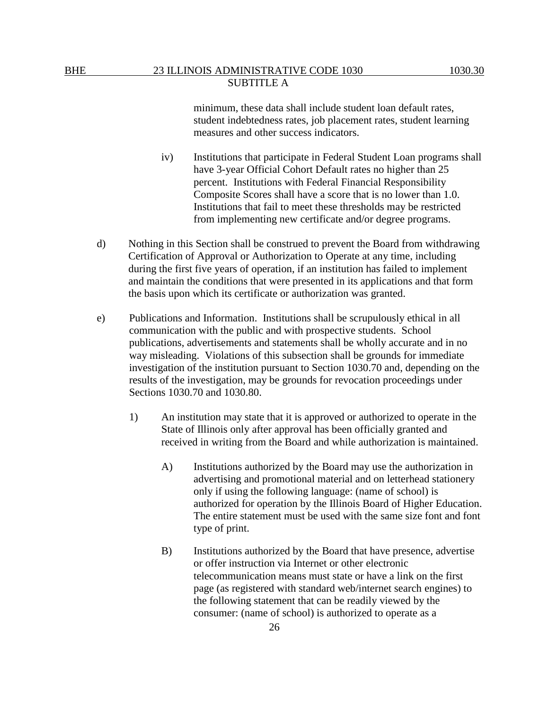minimum, these data shall include student loan default rates, student indebtedness rates, job placement rates, student learning measures and other success indicators.

- iv) Institutions that participate in Federal Student Loan programs shall have 3-year Official Cohort Default rates no higher than 25 percent. Institutions with Federal Financial Responsibility Composite Scores shall have a score that is no lower than 1.0. Institutions that fail to meet these thresholds may be restricted from implementing new certificate and/or degree programs.
- d) Nothing in this Section shall be construed to prevent the Board from withdrawing Certification of Approval or Authorization to Operate at any time, including during the first five years of operation, if an institution has failed to implement and maintain the conditions that were presented in its applications and that form the basis upon which its certificate or authorization was granted.
- e) Publications and Information. Institutions shall be scrupulously ethical in all communication with the public and with prospective students. School publications, advertisements and statements shall be wholly accurate and in no way misleading. Violations of this subsection shall be grounds for immediate investigation of the institution pursuant to Section 1030.70 and, depending on the results of the investigation, may be grounds for revocation proceedings under Sections 1030.70 and 1030.80.
	- 1) An institution may state that it is approved or authorized to operate in the State of Illinois only after approval has been officially granted and received in writing from the Board and while authorization is maintained.
		- A) Institutions authorized by the Board may use the authorization in advertising and promotional material and on letterhead stationery only if using the following language: (name of school) is authorized for operation by the Illinois Board of Higher Education. The entire statement must be used with the same size font and font type of print.
		- B) Institutions authorized by the Board that have presence, advertise or offer instruction via Internet or other electronic telecommunication means must state or have a link on the first page (as registered with standard web/internet search engines) to the following statement that can be readily viewed by the consumer: (name of school) is authorized to operate as a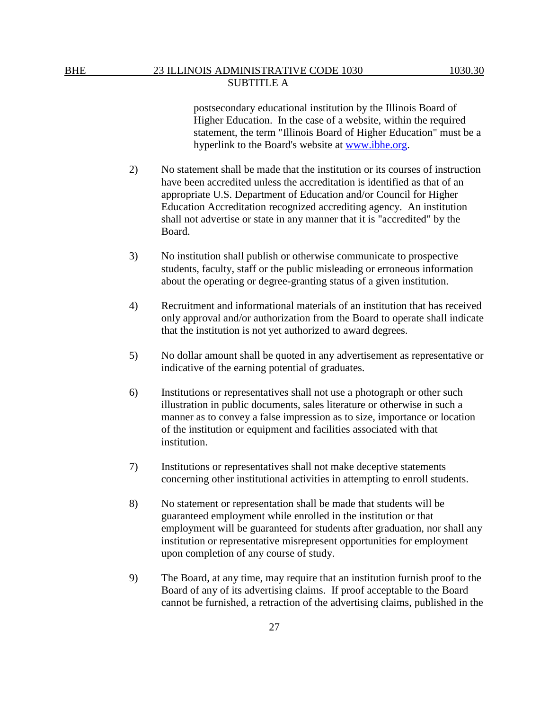postsecondary educational institution by the Illinois Board of Higher Education. In the case of a website, within the required statement, the term "Illinois Board of Higher Education" must be a hyperlink to the Board's website at [www.ibhe.org.](http://www.ibhe.org/)

- 2) No statement shall be made that the institution or its courses of instruction have been accredited unless the accreditation is identified as that of an appropriate U.S. Department of Education and/or Council for Higher Education Accreditation recognized accrediting agency. An institution shall not advertise or state in any manner that it is "accredited" by the Board.
- 3) No institution shall publish or otherwise communicate to prospective students, faculty, staff or the public misleading or erroneous information about the operating or degree-granting status of a given institution.
- 4) Recruitment and informational materials of an institution that has received only approval and/or authorization from the Board to operate shall indicate that the institution is not yet authorized to award degrees.
- 5) No dollar amount shall be quoted in any advertisement as representative or indicative of the earning potential of graduates.
- 6) Institutions or representatives shall not use a photograph or other such illustration in public documents, sales literature or otherwise in such a manner as to convey a false impression as to size, importance or location of the institution or equipment and facilities associated with that institution.
- 7) Institutions or representatives shall not make deceptive statements concerning other institutional activities in attempting to enroll students.
- 8) No statement or representation shall be made that students will be guaranteed employment while enrolled in the institution or that employment will be guaranteed for students after graduation, nor shall any institution or representative misrepresent opportunities for employment upon completion of any course of study.
- 9) The Board, at any time, may require that an institution furnish proof to the Board of any of its advertising claims. If proof acceptable to the Board cannot be furnished, a retraction of the advertising claims, published in the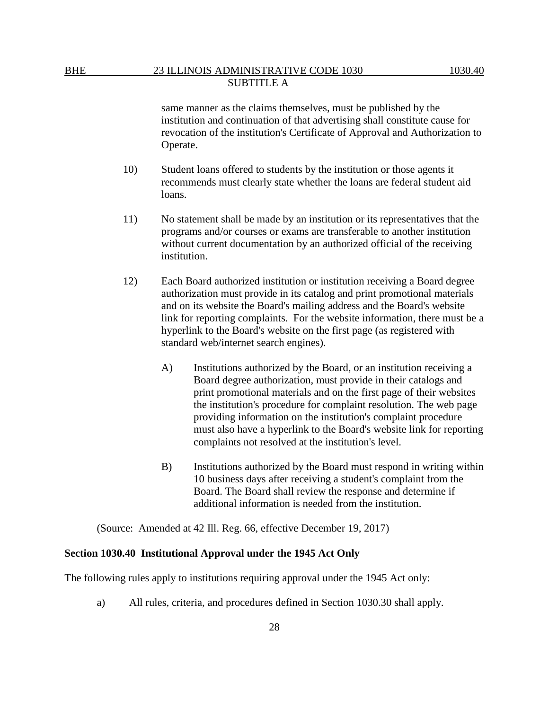same manner as the claims themselves, must be published by the institution and continuation of that advertising shall constitute cause for revocation of the institution's Certificate of Approval and Authorization to Operate.

- 10) Student loans offered to students by the institution or those agents it recommends must clearly state whether the loans are federal student aid loans.
- 11) No statement shall be made by an institution or its representatives that the programs and/or courses or exams are transferable to another institution without current documentation by an authorized official of the receiving institution.
- 12) Each Board authorized institution or institution receiving a Board degree authorization must provide in its catalog and print promotional materials and on its website the Board's mailing address and the Board's website link for reporting complaints. For the website information, there must be a hyperlink to the Board's website on the first page (as registered with standard web/internet search engines).
	- A) Institutions authorized by the Board, or an institution receiving a Board degree authorization, must provide in their catalogs and print promotional materials and on the first page of their websites the institution's procedure for complaint resolution. The web page providing information on the institution's complaint procedure must also have a hyperlink to the Board's website link for reporting complaints not resolved at the institution's level.
	- B) Institutions authorized by the Board must respond in writing within 10 business days after receiving a student's complaint from the Board. The Board shall review the response and determine if additional information is needed from the institution.

(Source: Amended at 42 Ill. Reg. 66, effective December 19, 2017)

#### **Section 1030.40 Institutional Approval under the 1945 Act Only**

The following rules apply to institutions requiring approval under the 1945 Act only:

a) All rules, criteria, and procedures defined in Section 1030.30 shall apply.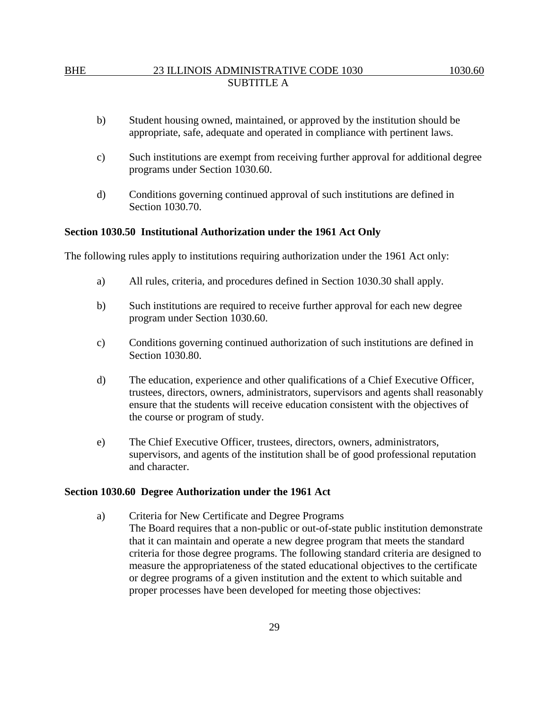- b) Student housing owned, maintained, or approved by the institution should be appropriate, safe, adequate and operated in compliance with pertinent laws.
- c) Such institutions are exempt from receiving further approval for additional degree programs under Section 1030.60.
- d) Conditions governing continued approval of such institutions are defined in Section 1030.70.

#### **Section 1030.50 Institutional Authorization under the 1961 Act Only**

The following rules apply to institutions requiring authorization under the 1961 Act only:

- a) All rules, criteria, and procedures defined in Section 1030.30 shall apply.
- b) Such institutions are required to receive further approval for each new degree program under Section 1030.60.
- c) Conditions governing continued authorization of such institutions are defined in Section 1030.80.
- d) The education, experience and other qualifications of a Chief Executive Officer, trustees, directors, owners, administrators, supervisors and agents shall reasonably ensure that the students will receive education consistent with the objectives of the course or program of study.
- e) The Chief Executive Officer, trustees, directors, owners, administrators, supervisors, and agents of the institution shall be of good professional reputation and character.

#### **Section 1030.60 Degree Authorization under the 1961 Act**

a) Criteria for New Certificate and Degree Programs The Board requires that a non-public or out-of-state public institution demonstrate that it can maintain and operate a new degree program that meets the standard criteria for those degree programs. The following standard criteria are designed to measure the appropriateness of the stated educational objectives to the certificate or degree programs of a given institution and the extent to which suitable and proper processes have been developed for meeting those objectives: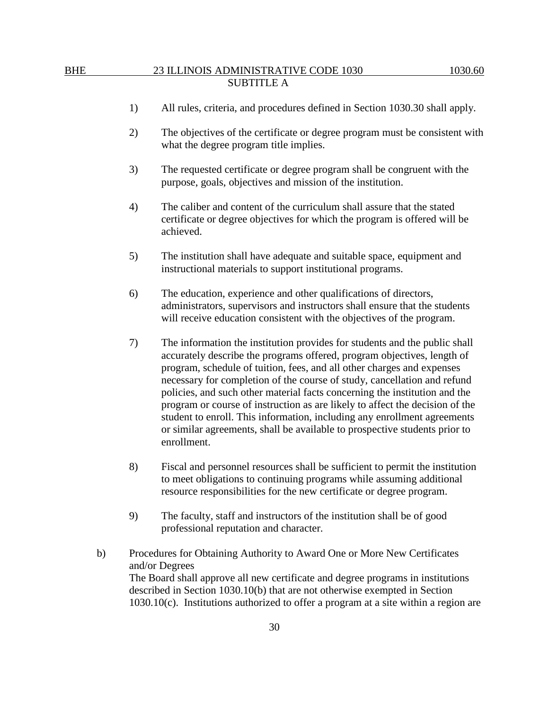- 1) All rules, criteria, and procedures defined in Section 1030.30 shall apply.
- 2) The objectives of the certificate or degree program must be consistent with what the degree program title implies.
- 3) The requested certificate or degree program shall be congruent with the purpose, goals, objectives and mission of the institution.
- 4) The caliber and content of the curriculum shall assure that the stated certificate or degree objectives for which the program is offered will be achieved.
- 5) The institution shall have adequate and suitable space, equipment and instructional materials to support institutional programs.
- 6) The education, experience and other qualifications of directors, administrators, supervisors and instructors shall ensure that the students will receive education consistent with the objectives of the program.
- 7) The information the institution provides for students and the public shall accurately describe the programs offered, program objectives, length of program, schedule of tuition, fees, and all other charges and expenses necessary for completion of the course of study, cancellation and refund policies, and such other material facts concerning the institution and the program or course of instruction as are likely to affect the decision of the student to enroll. This information, including any enrollment agreements or similar agreements, shall be available to prospective students prior to enrollment.
- 8) Fiscal and personnel resources shall be sufficient to permit the institution to meet obligations to continuing programs while assuming additional resource responsibilities for the new certificate or degree program.
- 9) The faculty, staff and instructors of the institution shall be of good professional reputation and character.
- b) Procedures for Obtaining Authority to Award One or More New Certificates and/or Degrees The Board shall approve all new certificate and degree programs in institutions described in Section 1030.10(b) that are not otherwise exempted in Section 1030.10(c). Institutions authorized to offer a program at a site within a region are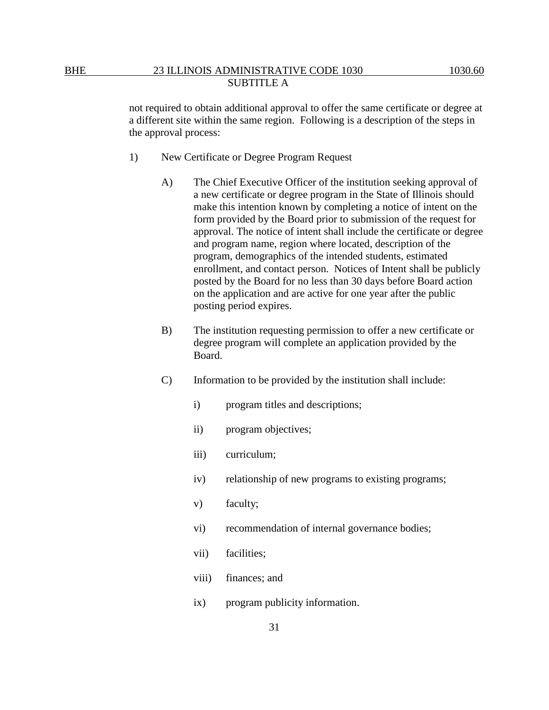not required to obtain additional approval to offer the same certificate or degree at a different site within the same region. Following is a description of the steps in the approval process:

- 1) New Certificate or Degree Program Request
	- A) The Chief Executive Officer of the institution seeking approval of a new certificate or degree program in the State of Illinois should make this intention known by completing a notice of intent on the form provided by the Board prior to submission of the request for approval. The notice of intent shall include the certificate or degree and program name, region where located, description of the program, demographics of the intended students, estimated enrollment, and contact person. Notices of Intent shall be publicly posted by the Board for no less than 30 days before Board action on the application and are active for one year after the public posting period expires.
	- B) The institution requesting permission to offer a new certificate or degree program will complete an application provided by the Board.
	- C) Information to be provided by the institution shall include:
		- i) program titles and descriptions;
		- ii) program objectives;
		- iii) curriculum;
		- iv) relationship of new programs to existing programs;
		- v) faculty;
		- vi) recommendation of internal governance bodies;
		- vii) facilities;
		- viii) finances; and
		- ix) program publicity information.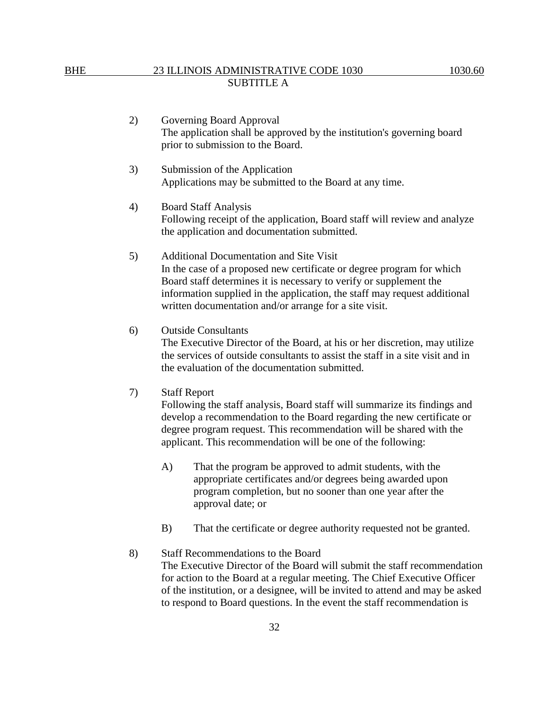- 2) Governing Board Approval The application shall be approved by the institution's governing board prior to submission to the Board.
- 3) Submission of the Application Applications may be submitted to the Board at any time.
- 4) Board Staff Analysis Following receipt of the application, Board staff will review and analyze the application and documentation submitted.
- 5) Additional Documentation and Site Visit In the case of a proposed new certificate or degree program for which Board staff determines it is necessary to verify or supplement the information supplied in the application, the staff may request additional written documentation and/or arrange for a site visit.
- 6) Outside Consultants

The Executive Director of the Board, at his or her discretion, may utilize the services of outside consultants to assist the staff in a site visit and in the evaluation of the documentation submitted.

7) Staff Report

Following the staff analysis, Board staff will summarize its findings and develop a recommendation to the Board regarding the new certificate or degree program request. This recommendation will be shared with the applicant. This recommendation will be one of the following:

- A) That the program be approved to admit students, with the appropriate certificates and/or degrees being awarded upon program completion, but no sooner than one year after the approval date; or
- B) That the certificate or degree authority requested not be granted.
- 8) Staff Recommendations to the Board The Executive Director of the Board will submit the staff recommendation for action to the Board at a regular meeting. The Chief Executive Officer of the institution, or a designee, will be invited to attend and may be asked to respond to Board questions. In the event the staff recommendation is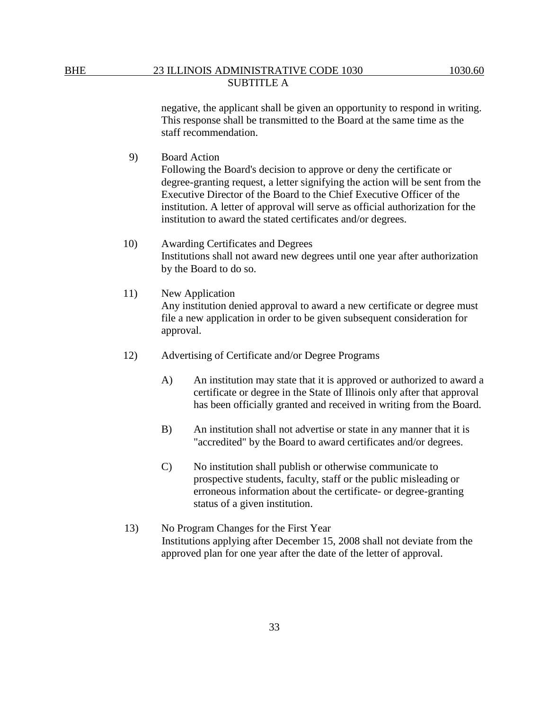negative, the applicant shall be given an opportunity to respond in writing. This response shall be transmitted to the Board at the same time as the staff recommendation.

9) Board Action

Following the Board's decision to approve or deny the certificate or degree-granting request, a letter signifying the action will be sent from the Executive Director of the Board to the Chief Executive Officer of the institution. A letter of approval will serve as official authorization for the institution to award the stated certificates and/or degrees.

- 10) Awarding Certificates and Degrees Institutions shall not award new degrees until one year after authorization by the Board to do so.
- 11) New Application Any institution denied approval to award a new certificate or degree must file a new application in order to be given subsequent consideration for approval.
- 12) Advertising of Certificate and/or Degree Programs
	- A) An institution may state that it is approved or authorized to award a certificate or degree in the State of Illinois only after that approval has been officially granted and received in writing from the Board.
	- B) An institution shall not advertise or state in any manner that it is "accredited" by the Board to award certificates and/or degrees.
	- C) No institution shall publish or otherwise communicate to prospective students, faculty, staff or the public misleading or erroneous information about the certificate- or degree-granting status of a given institution.
- 13) No Program Changes for the First Year Institutions applying after December 15, 2008 shall not deviate from the approved plan for one year after the date of the letter of approval.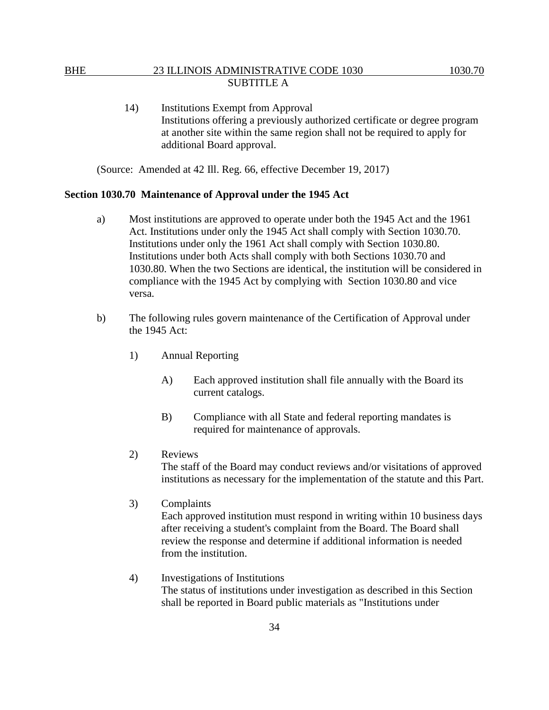14) Institutions Exempt from Approval Institutions offering a previously authorized certificate or degree program at another site within the same region shall not be required to apply for additional Board approval.

(Source: Amended at 42 Ill. Reg. 66, effective December 19, 2017)

#### **Section 1030.70 Maintenance of Approval under the 1945 Act**

- a) Most institutions are approved to operate under both the 1945 Act and the 1961 Act. Institutions under only the 1945 Act shall comply with Section 1030.70. Institutions under only the 1961 Act shall comply with Section 1030.80. Institutions under both Acts shall comply with both Sections 1030.70 and 1030.80. When the two Sections are identical, the institution will be considered in compliance with the 1945 Act by complying with Section 1030.80 and vice versa.
- b) The following rules govern maintenance of the Certification of Approval under the 1945 Act:
	- 1) Annual Reporting
		- A) Each approved institution shall file annually with the Board its current catalogs.
		- B) Compliance with all State and federal reporting mandates is required for maintenance of approvals.
	- 2) Reviews

The staff of the Board may conduct reviews and/or visitations of approved institutions as necessary for the implementation of the statute and this Part.

3) Complaints

Each approved institution must respond in writing within 10 business days after receiving a student's complaint from the Board. The Board shall review the response and determine if additional information is needed from the institution.

4) Investigations of Institutions The status of institutions under investigation as described in this Section shall be reported in Board public materials as "Institutions under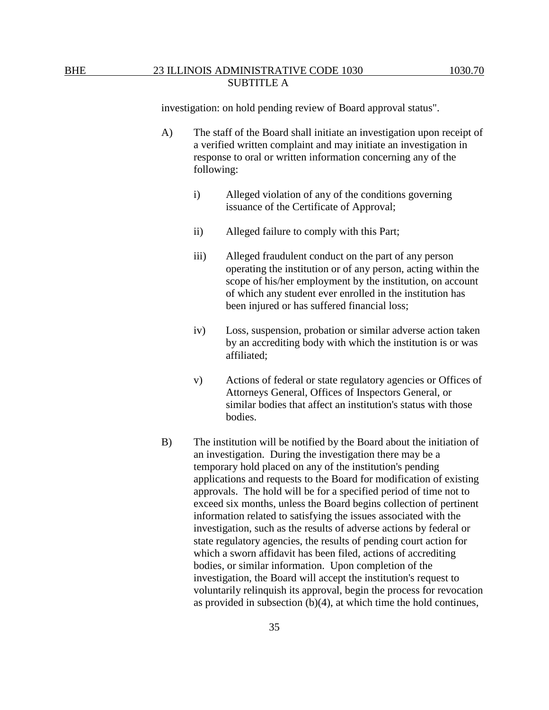investigation: on hold pending review of Board approval status".

- A) The staff of the Board shall initiate an investigation upon receipt of a verified written complaint and may initiate an investigation in response to oral or written information concerning any of the following:
	- i) Alleged violation of any of the conditions governing issuance of the Certificate of Approval;
	- ii) Alleged failure to comply with this Part;
	- iii) Alleged fraudulent conduct on the part of any person operating the institution or of any person, acting within the scope of his/her employment by the institution, on account of which any student ever enrolled in the institution has been injured or has suffered financial loss;
	- iv) Loss, suspension, probation or similar adverse action taken by an accrediting body with which the institution is or was affiliated;
	- v) Actions of federal or state regulatory agencies or Offices of Attorneys General, Offices of Inspectors General, or similar bodies that affect an institution's status with those bodies.
- B) The institution will be notified by the Board about the initiation of an investigation. During the investigation there may be a temporary hold placed on any of the institution's pending applications and requests to the Board for modification of existing approvals. The hold will be for a specified period of time not to exceed six months, unless the Board begins collection of pertinent information related to satisfying the issues associated with the investigation, such as the results of adverse actions by federal or state regulatory agencies, the results of pending court action for which a sworn affidavit has been filed, actions of accrediting bodies, or similar information. Upon completion of the investigation, the Board will accept the institution's request to voluntarily relinquish its approval, begin the process for revocation as provided in subsection (b)(4), at which time the hold continues,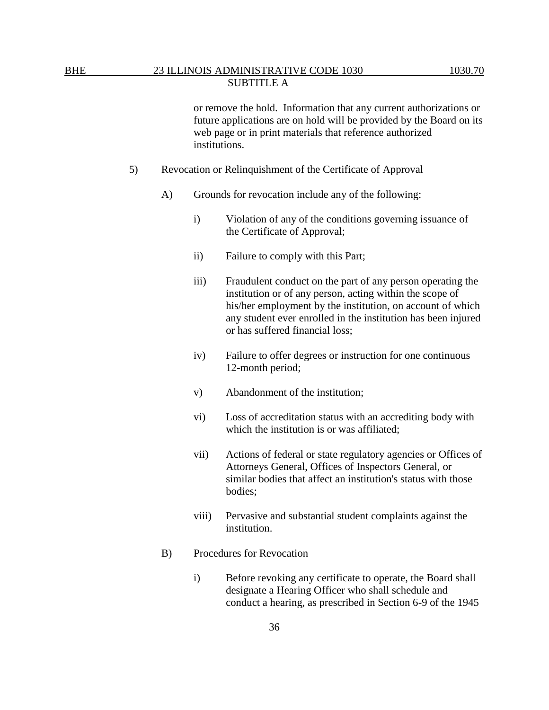or remove the hold. Information that any current authorizations or future applications are on hold will be provided by the Board on its web page or in print materials that reference authorized institutions.

- 5) Revocation or Relinquishment of the Certificate of Approval
	- A) Grounds for revocation include any of the following:
		- i) Violation of any of the conditions governing issuance of the Certificate of Approval;
		- ii) Failure to comply with this Part;
		- iii) Fraudulent conduct on the part of any person operating the institution or of any person, acting within the scope of his/her employment by the institution, on account of which any student ever enrolled in the institution has been injured or has suffered financial loss;
		- iv) Failure to offer degrees or instruction for one continuous 12-month period;
		- v) Abandonment of the institution;
		- vi) Loss of accreditation status with an accrediting body with which the institution is or was affiliated;
		- vii) Actions of federal or state regulatory agencies or Offices of Attorneys General, Offices of Inspectors General, or similar bodies that affect an institution's status with those bodies;
		- viii) Pervasive and substantial student complaints against the institution.
	- B) Procedures for Revocation
		- i) Before revoking any certificate to operate, the Board shall designate a Hearing Officer who shall schedule and conduct a hearing, as prescribed in Section 6-9 of the 1945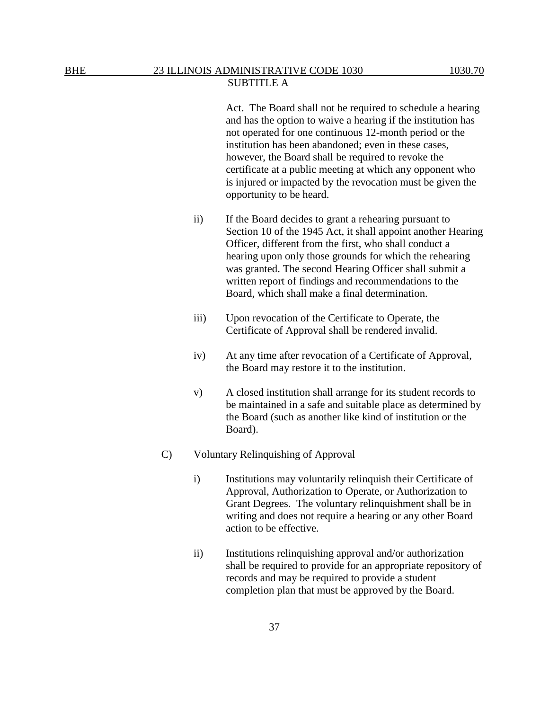## SUBTITLE A

Act. The Board shall not be required to schedule a hearing and has the option to waive a hearing if the institution has not operated for one continuous 12-month period or the institution has been abandoned; even in these cases, however, the Board shall be required to revoke the certificate at a public meeting at which any opponent who is injured or impacted by the revocation must be given the opportunity to be heard.

- ii) If the Board decides to grant a rehearing pursuant to Section 10 of the 1945 Act, it shall appoint another Hearing Officer, different from the first, who shall conduct a hearing upon only those grounds for which the rehearing was granted. The second Hearing Officer shall submit a written report of findings and recommendations to the Board, which shall make a final determination.
- iii) Upon revocation of the Certificate to Operate, the Certificate of Approval shall be rendered invalid.
- iv) At any time after revocation of a Certificate of Approval, the Board may restore it to the institution.
- v) A closed institution shall arrange for its student records to be maintained in a safe and suitable place as determined by the Board (such as another like kind of institution or the Board).
- C) Voluntary Relinquishing of Approval
	- i) Institutions may voluntarily relinquish their Certificate of Approval, Authorization to Operate, or Authorization to Grant Degrees. The voluntary relinquishment shall be in writing and does not require a hearing or any other Board action to be effective.
	- ii) Institutions relinquishing approval and/or authorization shall be required to provide for an appropriate repository of records and may be required to provide a student completion plan that must be approved by the Board.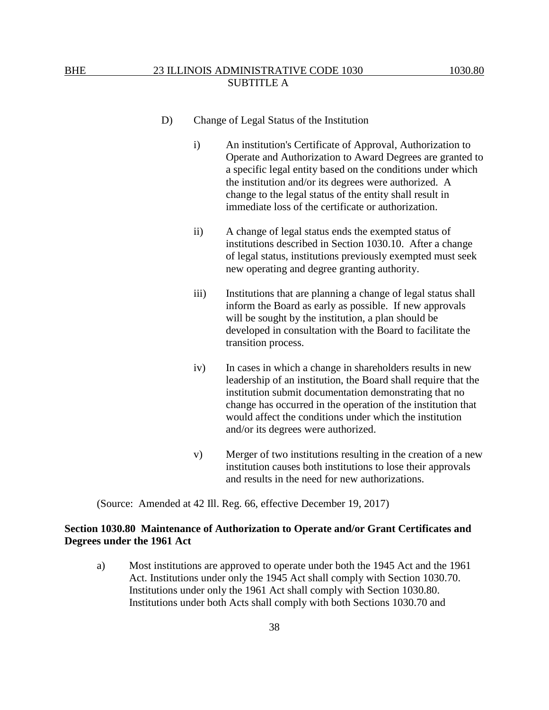- D) Change of Legal Status of the Institution
	- i) An institution's Certificate of Approval, Authorization to Operate and Authorization to Award Degrees are granted to a specific legal entity based on the conditions under which the institution and/or its degrees were authorized. A change to the legal status of the entity shall result in immediate loss of the certificate or authorization.
	- ii) A change of legal status ends the exempted status of institutions described in Section 1030.10. After a change of legal status, institutions previously exempted must seek new operating and degree granting authority.
	- iii) Institutions that are planning a change of legal status shall inform the Board as early as possible. If new approvals will be sought by the institution, a plan should be developed in consultation with the Board to facilitate the transition process.
	- iv) In cases in which a change in shareholders results in new leadership of an institution, the Board shall require that the institution submit documentation demonstrating that no change has occurred in the operation of the institution that would affect the conditions under which the institution and/or its degrees were authorized.
	- v) Merger of two institutions resulting in the creation of a new institution causes both institutions to lose their approvals and results in the need for new authorizations.

(Source: Amended at 42 Ill. Reg. 66, effective December 19, 2017)

## **Section 1030.80 Maintenance of Authorization to Operate and/or Grant Certificates and Degrees under the 1961 Act**

a) Most institutions are approved to operate under both the 1945 Act and the 1961 Act. Institutions under only the 1945 Act shall comply with Section 1030.70. Institutions under only the 1961 Act shall comply with Section 1030.80. Institutions under both Acts shall comply with both Sections 1030.70 and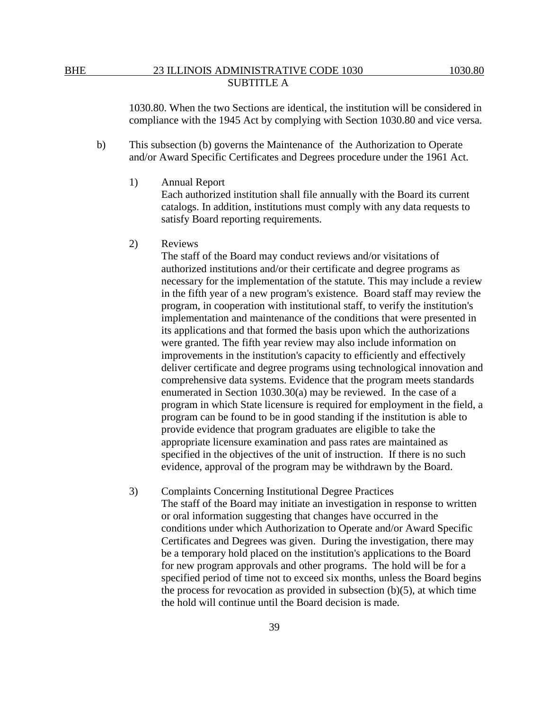1030.80. When the two Sections are identical, the institution will be considered in compliance with the 1945 Act by complying with Section 1030.80 and vice versa.

- b) This subsection (b) governs the Maintenance of the Authorization to Operate and/or Award Specific Certificates and Degrees procedure under the 1961 Act.
	- 1) Annual Report

Each authorized institution shall file annually with the Board its current catalogs. In addition, institutions must comply with any data requests to satisfy Board reporting requirements.

2) Reviews

The staff of the Board may conduct reviews and/or visitations of authorized institutions and/or their certificate and degree programs as necessary for the implementation of the statute. This may include a review in the fifth year of a new program's existence. Board staff may review the program, in cooperation with institutional staff, to verify the institution's implementation and maintenance of the conditions that were presented in its applications and that formed the basis upon which the authorizations were granted. The fifth year review may also include information on improvements in the institution's capacity to efficiently and effectively deliver certificate and degree programs using technological innovation and comprehensive data systems. Evidence that the program meets standards enumerated in Section 1030.30(a) may be reviewed. In the case of a program in which State licensure is required for employment in the field, a program can be found to be in good standing if the institution is able to provide evidence that program graduates are eligible to take the appropriate licensure examination and pass rates are maintained as specified in the objectives of the unit of instruction. If there is no such evidence, approval of the program may be withdrawn by the Board.

3) Complaints Concerning Institutional Degree Practices The staff of the Board may initiate an investigation in response to written or oral information suggesting that changes have occurred in the conditions under which Authorization to Operate and/or Award Specific Certificates and Degrees was given. During the investigation, there may be a temporary hold placed on the institution's applications to the Board for new program approvals and other programs. The hold will be for a specified period of time not to exceed six months, unless the Board begins the process for revocation as provided in subsection  $(b)(5)$ , at which time the hold will continue until the Board decision is made.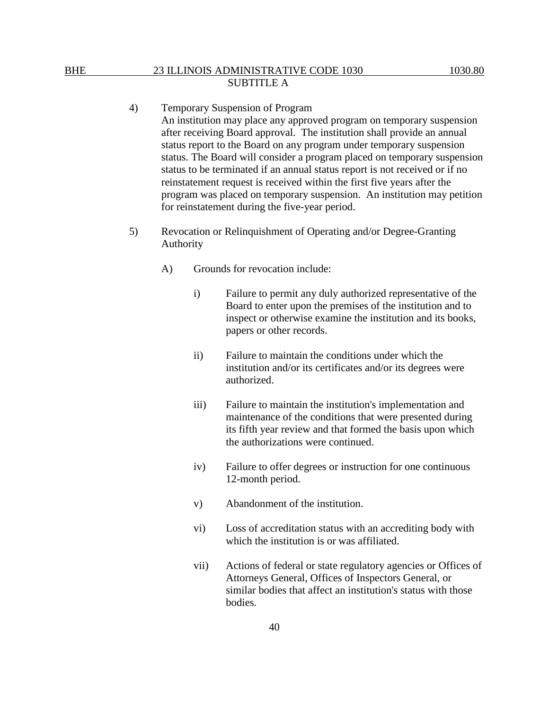- 4) Temporary Suspension of Program An institution may place any approved program on temporary suspension after receiving Board approval. The institution shall provide an annual status report to the Board on any program under temporary suspension status. The Board will consider a program placed on temporary suspension status to be terminated if an annual status report is not received or if no reinstatement request is received within the first five years after the program was placed on temporary suspension. An institution may petition for reinstatement during the five-year period.
- 5) Revocation or Relinquishment of Operating and/or Degree-Granting Authority
	- A) Grounds for revocation include:
		- i) Failure to permit any duly authorized representative of the Board to enter upon the premises of the institution and to inspect or otherwise examine the institution and its books, papers or other records.
		- ii) Failure to maintain the conditions under which the institution and/or its certificates and/or its degrees were authorized.
		- iii) Failure to maintain the institution's implementation and maintenance of the conditions that were presented during its fifth year review and that formed the basis upon which the authorizations were continued.
		- iv) Failure to offer degrees or instruction for one continuous 12-month period.
		- v) Abandonment of the institution.
		- vi) Loss of accreditation status with an accrediting body with which the institution is or was affiliated.
		- vii) Actions of federal or state regulatory agencies or Offices of Attorneys General, Offices of Inspectors General, or similar bodies that affect an institution's status with those bodies.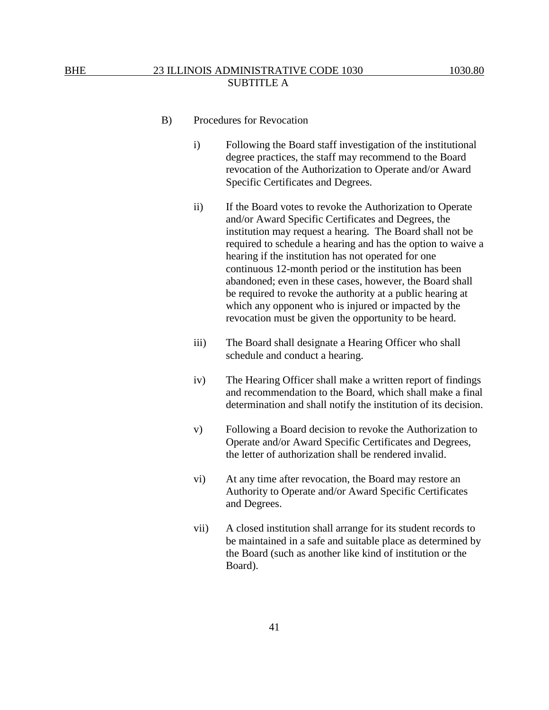- B) Procedures for Revocation
	- i) Following the Board staff investigation of the institutional degree practices, the staff may recommend to the Board revocation of the Authorization to Operate and/or Award Specific Certificates and Degrees.
	- ii) If the Board votes to revoke the Authorization to Operate and/or Award Specific Certificates and Degrees, the institution may request a hearing. The Board shall not be required to schedule a hearing and has the option to waive a hearing if the institution has not operated for one continuous 12-month period or the institution has been abandoned; even in these cases, however, the Board shall be required to revoke the authority at a public hearing at which any opponent who is injured or impacted by the revocation must be given the opportunity to be heard.
	- iii) The Board shall designate a Hearing Officer who shall schedule and conduct a hearing.
	- iv) The Hearing Officer shall make a written report of findings and recommendation to the Board, which shall make a final determination and shall notify the institution of its decision.
	- v) Following a Board decision to revoke the Authorization to Operate and/or Award Specific Certificates and Degrees, the letter of authorization shall be rendered invalid.
	- vi) At any time after revocation, the Board may restore an Authority to Operate and/or Award Specific Certificates and Degrees.
	- vii) A closed institution shall arrange for its student records to be maintained in a safe and suitable place as determined by the Board (such as another like kind of institution or the Board).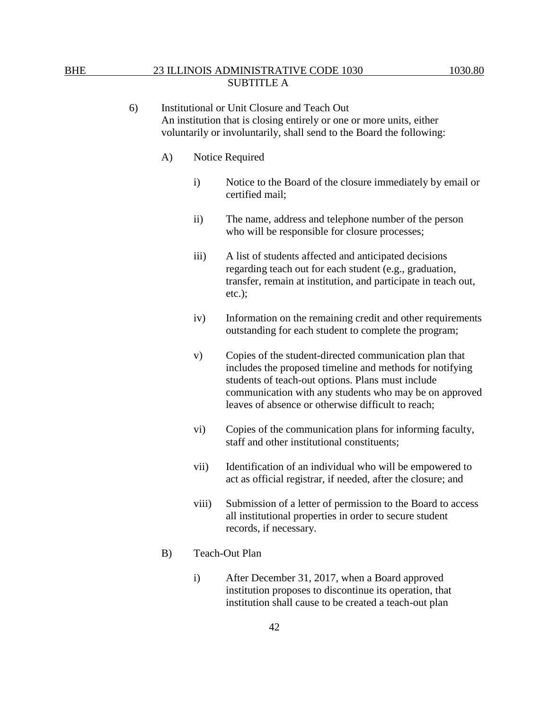- A) Notice Required
	- i) Notice to the Board of the closure immediately by email or certified mail;
	- ii) The name, address and telephone number of the person who will be responsible for closure processes;
	- iii) A list of students affected and anticipated decisions regarding teach out for each student (e.g., graduation, transfer, remain at institution, and participate in teach out, etc.);
	- iv) Information on the remaining credit and other requirements outstanding for each student to complete the program;
	- v) Copies of the student-directed communication plan that includes the proposed timeline and methods for notifying students of teach-out options. Plans must include communication with any students who may be on approved leaves of absence or otherwise difficult to reach;
	- vi) Copies of the communication plans for informing faculty, staff and other institutional constituents;
	- vii) Identification of an individual who will be empowered to act as official registrar, if needed, after the closure; and
	- viii) Submission of a letter of permission to the Board to access all institutional properties in order to secure student records, if necessary.
- B) Teach-Out Plan
	- i) After December 31, 2017, when a Board approved institution proposes to discontinue its operation, that institution shall cause to be created a teach-out plan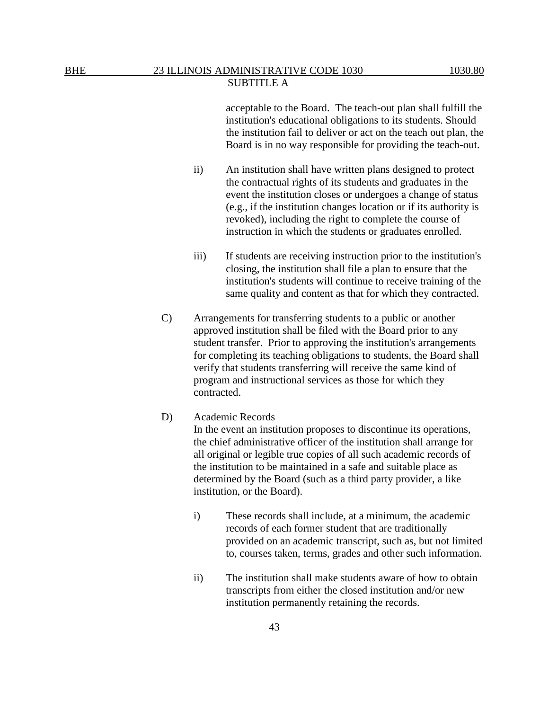acceptable to the Board. The teach-out plan shall fulfill the institution's educational obligations to its students. Should the institution fail to deliver or act on the teach out plan, the Board is in no way responsible for providing the teach-out.

- ii) An institution shall have written plans designed to protect the contractual rights of its students and graduates in the event the institution closes or undergoes a change of status (e.g., if the institution changes location or if its authority is revoked), including the right to complete the course of instruction in which the students or graduates enrolled.
- iii) If students are receiving instruction prior to the institution's closing, the institution shall file a plan to ensure that the institution's students will continue to receive training of the same quality and content as that for which they contracted.
- C) Arrangements for transferring students to a public or another approved institution shall be filed with the Board prior to any student transfer. Prior to approving the institution's arrangements for completing its teaching obligations to students, the Board shall verify that students transferring will receive the same kind of program and instructional services as those for which they contracted.

#### D) Academic Records

In the event an institution proposes to discontinue its operations, the chief administrative officer of the institution shall arrange for all original or legible true copies of all such academic records of the institution to be maintained in a safe and suitable place as determined by the Board (such as a third party provider, a like institution, or the Board).

- i) These records shall include, at a minimum, the academic records of each former student that are traditionally provided on an academic transcript, such as, but not limited to, courses taken, terms, grades and other such information.
- ii) The institution shall make students aware of how to obtain transcripts from either the closed institution and/or new institution permanently retaining the records.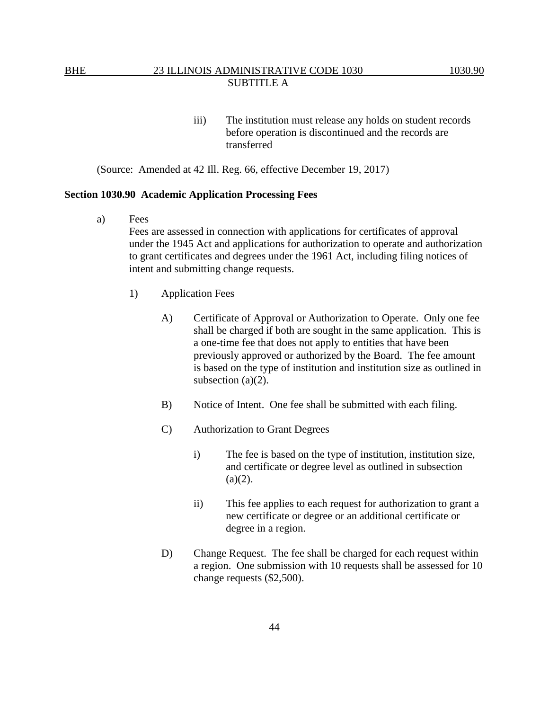iii) The institution must release any holds on student records before operation is discontinued and the records are transferred

(Source: Amended at 42 Ill. Reg. 66, effective December 19, 2017)

#### **Section 1030.90 Academic Application Processing Fees**

a) Fees

Fees are assessed in connection with applications for certificates of approval under the 1945 Act and applications for authorization to operate and authorization to grant certificates and degrees under the 1961 Act, including filing notices of intent and submitting change requests.

- 1) Application Fees
	- A) Certificate of Approval or Authorization to Operate. Only one fee shall be charged if both are sought in the same application. This is a one-time fee that does not apply to entities that have been previously approved or authorized by the Board. The fee amount is based on the type of institution and institution size as outlined in subsection  $(a)(2)$ .
	- B) Notice of Intent. One fee shall be submitted with each filing.
	- C) Authorization to Grant Degrees
		- i) The fee is based on the type of institution, institution size, and certificate or degree level as outlined in subsection  $(a)(2)$ .
		- ii) This fee applies to each request for authorization to grant a new certificate or degree or an additional certificate or degree in a region.
	- D) Change Request. The fee shall be charged for each request within a region. One submission with 10 requests shall be assessed for 10 change requests (\$2,500).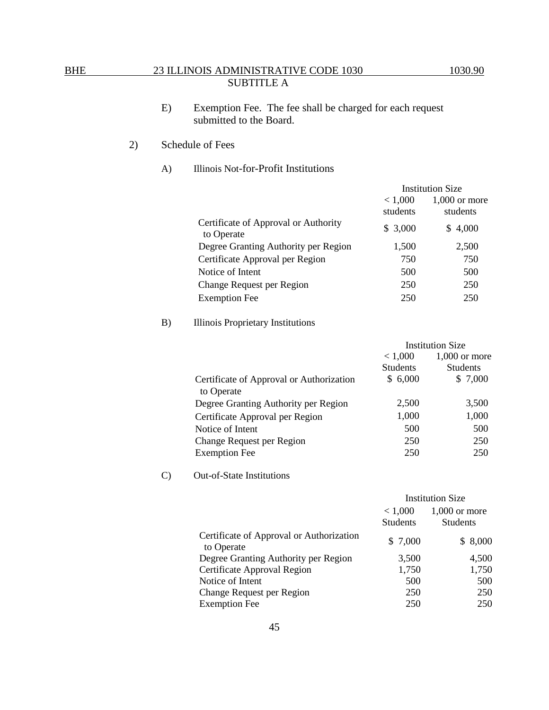E) Exemption Fee. The fee shall be charged for each request submitted to the Board.

# 2) Schedule of Fees

## A) Illinois Not-for-Profit Institutions

| <b>Institution Size</b> |                             |
|-------------------------|-----------------------------|
| < 1,000<br>students     | $1.000$ or more<br>students |
| \$3,000                 | 4,000<br>S                  |
| 1,500                   | 2,500                       |
| 750                     | 750                         |
| 500                     | 500                         |
| 250                     | 250                         |
| 250                     | 250                         |
|                         |                             |

# B) Illinois Proprietary Institutions

|                                          | <b>Institution Size</b> |                 |
|------------------------------------------|-------------------------|-----------------|
|                                          | < 1,000                 | $1,000$ or more |
|                                          | <b>Students</b>         | <b>Students</b> |
| Certificate of Approval or Authorization | \$6,000                 | \$7,000         |
| to Operate                               |                         |                 |
| Degree Granting Authority per Region     | 2,500                   | 3,500           |
| Certificate Approval per Region          | 1,000                   | 1,000           |
| Notice of Intent                         | 500                     | 500             |
| <b>Change Request per Region</b>         | 250                     | 250             |
| <b>Exemption Fee</b>                     | 250                     | 250             |

## C) Out-of-State Institutions

|                                                        | <b>Institution Size</b> |                 |
|--------------------------------------------------------|-------------------------|-----------------|
|                                                        | < 1,000                 | $1,000$ or more |
|                                                        | <b>Students</b>         | <b>Students</b> |
| Certificate of Approval or Authorization<br>to Operate | \$ 7,000                | 8,000<br>S.     |
| Degree Granting Authority per Region                   | 3,500                   | 4,500           |
| Certificate Approval Region                            | 1,750                   | 1,750           |
| Notice of Intent                                       | 500                     | 500             |
| Change Request per Region                              | 250                     | 250             |
| <b>Exemption Fee</b>                                   | 250                     | 250             |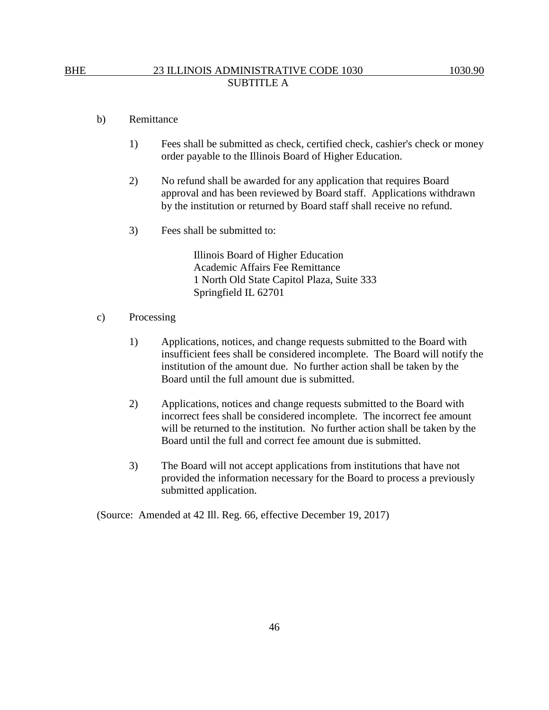#### b) Remittance

- 1) Fees shall be submitted as check, certified check, cashier's check or money order payable to the Illinois Board of Higher Education.
- 2) No refund shall be awarded for any application that requires Board approval and has been reviewed by Board staff. Applications withdrawn by the institution or returned by Board staff shall receive no refund.
- 3) Fees shall be submitted to:

Illinois Board of Higher Education Academic Affairs Fee Remittance 1 North Old State Capitol Plaza, Suite 333 Springfield IL 62701

- c) Processing
	- 1) Applications, notices, and change requests submitted to the Board with insufficient fees shall be considered incomplete. The Board will notify the institution of the amount due. No further action shall be taken by the Board until the full amount due is submitted.
	- 2) Applications, notices and change requests submitted to the Board with incorrect fees shall be considered incomplete. The incorrect fee amount will be returned to the institution. No further action shall be taken by the Board until the full and correct fee amount due is submitted.
	- 3) The Board will not accept applications from institutions that have not provided the information necessary for the Board to process a previously submitted application.

(Source: Amended at 42 Ill. Reg. 66, effective December 19, 2017)